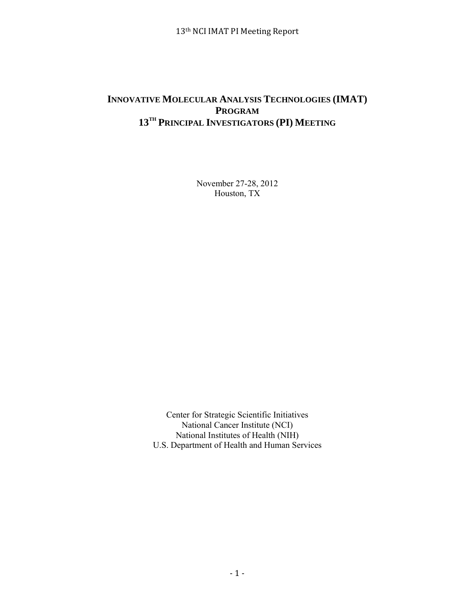# **INNOVATIVE MOLECULAR ANALYSIS TECHNOLOGIES (IMAT) PROGRAM 13TH PRINCIPAL INVESTIGATORS (PI) MEETING**

November 27-28, 2012 Houston, TX

Center for Strategic Scientific Initiatives National Cancer Institute (NCI) National Institutes of Health (NIH) U.S. Department of Health and Human Services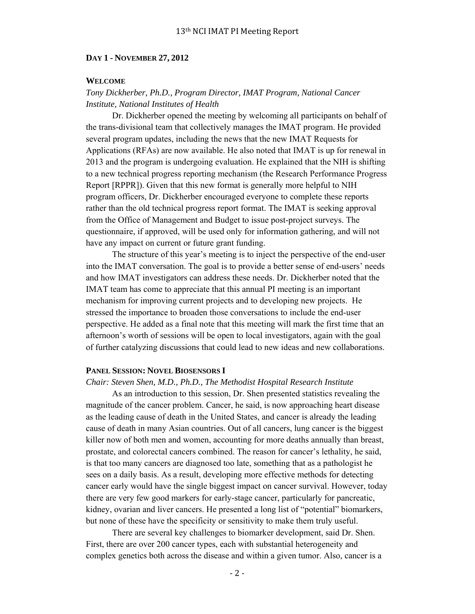#### **DAY 1 - NOVEMBER 27, 2012**

### **WELCOME**

## *Tony Dickherber, Ph.D., Program Director, IMAT Program, National Cancer Institute, National Institutes of Health*

 Dr. Dickherber opened the meeting by welcoming all participants on behalf of the trans-divisional team that collectively manages the IMAT program. He provided several program updates, including the news that the new IMAT Requests for Applications (RFAs) are now available. He also noted that IMAT is up for renewal in 2013 and the program is undergoing evaluation. He explained that the NIH is shifting to a new technical progress reporting mechanism (the Research Performance Progress Report [RPPR]). Given that this new format is generally more helpful to NIH program officers, Dr. Dickherber encouraged everyone to complete these reports rather than the old technical progress report format. The IMAT is seeking approval from the Office of Management and Budget to issue post-project surveys. The questionnaire, if approved, will be used only for information gathering, and will not have any impact on current or future grant funding.

 The structure of this year's meeting is to inject the perspective of the end-user into the IMAT conversation. The goal is to provide a better sense of end-users' needs and how IMAT investigators can address these needs. Dr. Dickherber noted that the IMAT team has come to appreciate that this annual PI meeting is an important mechanism for improving current projects and to developing new projects. He stressed the importance to broaden those conversations to include the end-user perspective. He added as a final note that this meeting will mark the first time that an afternoon's worth of sessions will be open to local investigators, again with the goal of further catalyzing discussions that could lead to new ideas and new collaborations.

### **PANEL SESSION: NOVEL BIOSENSORS I**

#### *Chair: Steven Shen, M.D., Ph.D., The Methodist Hospital Research Institute*

 As an introduction to this session, Dr. Shen presented statistics revealing the magnitude of the cancer problem. Cancer, he said, is now approaching heart disease as the leading cause of death in the United States, and cancer is already the leading cause of death in many Asian countries. Out of all cancers, lung cancer is the biggest killer now of both men and women, accounting for more deaths annually than breast, prostate, and colorectal cancers combined. The reason for cancer's lethality, he said, is that too many cancers are diagnosed too late, something that as a pathologist he sees on a daily basis. As a result, developing more effective methods for detecting cancer early would have the single biggest impact on cancer survival. However, today there are very few good markers for early-stage cancer, particularly for pancreatic, kidney, ovarian and liver cancers. He presented a long list of "potential" biomarkers, but none of these have the specificity or sensitivity to make them truly useful.

 There are several key challenges to biomarker development, said Dr. Shen. First, there are over 200 cancer types, each with substantial heterogeneity and complex genetics both across the disease and within a given tumor. Also, cancer is a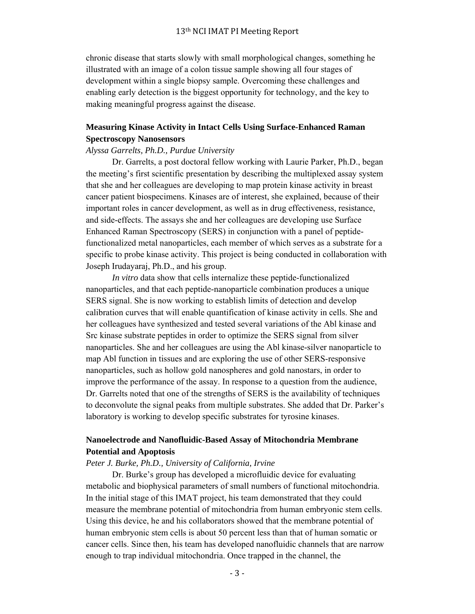chronic disease that starts slowly with small morphological changes, something he illustrated with an image of a colon tissue sample showing all four stages of development within a single biopsy sample. Overcoming these challenges and enabling early detection is the biggest opportunity for technology, and the key to making meaningful progress against the disease.

## **Measuring Kinase Activity in Intact Cells Using Surface-Enhanced Raman Spectroscopy Nanosensors**

### *Alyssa Garrelts, Ph.D., Purdue University*

 Dr. Garrelts, a post doctoral fellow working with Laurie Parker, Ph.D., began the meeting's first scientific presentation by describing the multiplexed assay system that she and her colleagues are developing to map protein kinase activity in breast cancer patient biospecimens. Kinases are of interest, she explained, because of their important roles in cancer development, as well as in drug effectiveness, resistance, and side-effects. The assays she and her colleagues are developing use Surface Enhanced Raman Spectroscopy (SERS) in conjunction with a panel of peptidefunctionalized metal nanoparticles, each member of which serves as a substrate for a specific to probe kinase activity. This project is being conducted in collaboration with Joseph Irudayaraj, Ph.D., and his group.

*In vitro* data show that cells internalize these peptide-functionalized nanoparticles, and that each peptide-nanoparticle combination produces a unique SERS signal. She is now working to establish limits of detection and develop calibration curves that will enable quantification of kinase activity in cells. She and her colleagues have synthesized and tested several variations of the Abl kinase and Src kinase substrate peptides in order to optimize the SERS signal from silver nanoparticles. She and her colleagues are using the Abl kinase-silver nanoparticle to map Abl function in tissues and are exploring the use of other SERS-responsive nanoparticles, such as hollow gold nanospheres and gold nanostars, in order to improve the performance of the assay. In response to a question from the audience, Dr. Garrelts noted that one of the strengths of SERS is the availability of techniques to deconvolute the signal peaks from multiple substrates. She added that Dr. Parker's laboratory is working to develop specific substrates for tyrosine kinases.

## **Nanoelectrode and Nanofluidic-Based Assay of Mitochondria Membrane Potential and Apoptosis**

### *Peter J. Burke, Ph.D., University of California, Irvine*

 Dr. Burke's group has developed a microfluidic device for evaluating metabolic and biophysical parameters of small numbers of functional mitochondria. In the initial stage of this IMAT project, his team demonstrated that they could measure the membrane potential of mitochondria from human embryonic stem cells. Using this device, he and his collaborators showed that the membrane potential of human embryonic stem cells is about 50 percent less than that of human somatic or cancer cells. Since then, his team has developed nanofluidic channels that are narrow enough to trap individual mitochondria. Once trapped in the channel, the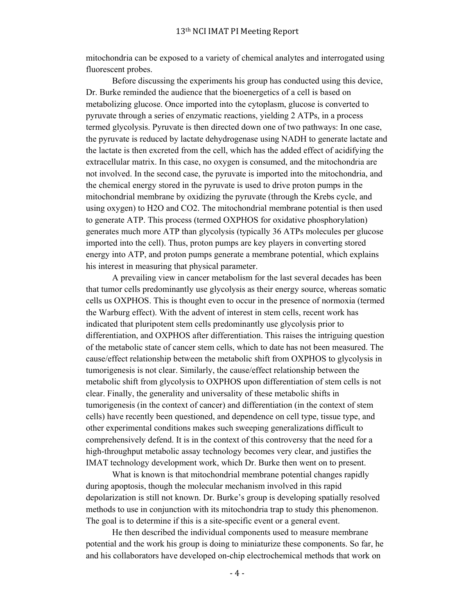mitochondria can be exposed to a variety of chemical analytes and interrogated using fluorescent probes.

 Before discussing the experiments his group has conducted using this device, Dr. Burke reminded the audience that the bioenergetics of a cell is based on metabolizing glucose. Once imported into the cytoplasm, glucose is converted to pyruvate through a series of enzymatic reactions, yielding 2 ATPs, in a process termed glycolysis. Pyruvate is then directed down one of two pathways: In one case, the pyruvate is reduced by lactate dehydrogenase using NADH to generate lactate and the lactate is then excreted from the cell, which has the added effect of acidifying the extracellular matrix. In this case, no oxygen is consumed, and the mitochondria are not involved. In the second case, the pyruvate is imported into the mitochondria, and the chemical energy stored in the pyruvate is used to drive proton pumps in the mitochondrial membrane by oxidizing the pyruvate (through the Krebs cycle, and using oxygen) to H2O and CO2. The mitochondrial membrane potential is then used to generate ATP. This process (termed OXPHOS for oxidative phosphorylation) generates much more ATP than glycolysis (typically 36 ATPs molecules per glucose imported into the cell). Thus, proton pumps are key players in converting stored energy into ATP, and proton pumps generate a membrane potential, which explains his interest in measuring that physical parameter.

A prevailing view in cancer metabolism for the last several decades has been that tumor cells predominantly use glycolysis as their energy source, whereas somatic cells us OXPHOS. This is thought even to occur in the presence of normoxia (termed the Warburg effect). With the advent of interest in stem cells, recent work has indicated that pluripotent stem cells predominantly use glycolysis prior to differentiation, and OXPHOS after differentiation. This raises the intriguing question of the metabolic state of cancer stem cells, which to date has not been measured. The cause/effect relationship between the metabolic shift from OXPHOS to glycolysis in tumorigenesis is not clear. Similarly, the cause/effect relationship between the metabolic shift from glycolysis to OXPHOS upon differentiation of stem cells is not clear. Finally, the generality and universality of these metabolic shifts in tumorigenesis (in the context of cancer) and differentiation (in the context of stem cells) have recently been questioned, and dependence on cell type, tissue type, and other experimental conditions makes such sweeping generalizations difficult to comprehensively defend. It is in the context of this controversy that the need for a high-throughput metabolic assay technology becomes very clear, and justifies the IMAT technology development work, which Dr. Burke then went on to present.

 What is known is that mitochondrial membrane potential changes rapidly during apoptosis, though the molecular mechanism involved in this rapid depolarization is still not known. Dr. Burke's group is developing spatially resolved methods to use in conjunction with its mitochondria trap to study this phenomenon. The goal is to determine if this is a site-specific event or a general event.

 He then described the individual components used to measure membrane potential and the work his group is doing to miniaturize these components. So far, he and his collaborators have developed on-chip electrochemical methods that work on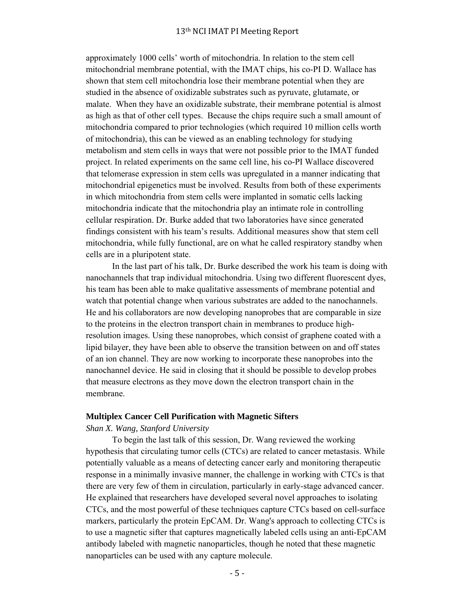approximately 1000 cells' worth of mitochondria. In relation to the stem cell mitochondrial membrane potential, with the IMAT chips, his co-PI D. Wallace has shown that stem cell mitochondria lose their membrane potential when they are studied in the absence of oxidizable substrates such as pyruvate, glutamate, or malate. When they have an oxidizable substrate, their membrane potential is almost as high as that of other cell types. Because the chips require such a small amount of mitochondria compared to prior technologies (which required 10 million cells worth of mitochondria), this can be viewed as an enabling technology for studying metabolism and stem cells in ways that were not possible prior to the IMAT funded project. In related experiments on the same cell line, his co-PI Wallace discovered that telomerase expression in stem cells was upregulated in a manner indicating that mitochondrial epigenetics must be involved. Results from both of these experiments in which mitochondria from stem cells were implanted in somatic cells lacking mitochondria indicate that the mitochondria play an intimate role in controlling cellular respiration. Dr. Burke added that two laboratories have since generated findings consistent with his team's results. Additional measures show that stem cell mitochondria, while fully functional, are on what he called respiratory standby when cells are in a pluripotent state.

 In the last part of his talk, Dr. Burke described the work his team is doing with nanochannels that trap individual mitochondria. Using two different fluorescent dyes, his team has been able to make qualitative assessments of membrane potential and watch that potential change when various substrates are added to the nanochannels. He and his collaborators are now developing nanoprobes that are comparable in size to the proteins in the electron transport chain in membranes to produce highresolution images. Using these nanoprobes, which consist of graphene coated with a lipid bilayer, they have been able to observe the transition between on and off states of an ion channel. They are now working to incorporate these nanoprobes into the nanochannel device. He said in closing that it should be possible to develop probes that measure electrons as they move down the electron transport chain in the membrane.

### **Multiplex Cancer Cell Purification with Magnetic Sifters**

#### *Shan X. Wang, Stanford University*

 To begin the last talk of this session, Dr. Wang reviewed the working hypothesis that circulating tumor cells (CTCs) are related to cancer metastasis. While potentially valuable as a means of detecting cancer early and monitoring therapeutic response in a minimally invasive manner, the challenge in working with CTCs is that there are very few of them in circulation, particularly in early-stage advanced cancer. He explained that researchers have developed several novel approaches to isolating CTCs, and the most powerful of these techniques capture CTCs based on cell-surface markers, particularly the protein EpCAM. Dr. Wang's approach to collecting CTCs is to use a magnetic sifter that captures magnetically labeled cells using an anti-EpCAM antibody labeled with magnetic nanoparticles, though he noted that these magnetic nanoparticles can be used with any capture molecule.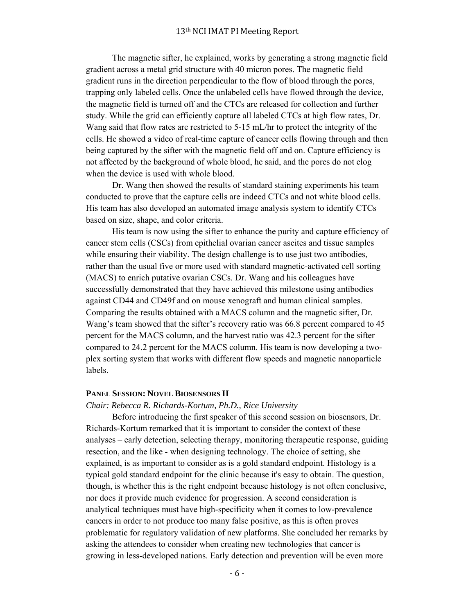The magnetic sifter, he explained, works by generating a strong magnetic field gradient across a metal grid structure with 40 micron pores. The magnetic field gradient runs in the direction perpendicular to the flow of blood through the pores, trapping only labeled cells. Once the unlabeled cells have flowed through the device, the magnetic field is turned off and the CTCs are released for collection and further study. While the grid can efficiently capture all labeled CTCs at high flow rates, Dr. Wang said that flow rates are restricted to 5-15 mL/hr to protect the integrity of the cells. He showed a video of real-time capture of cancer cells flowing through and then being captured by the sifter with the magnetic field off and on. Capture efficiency is not affected by the background of whole blood, he said, and the pores do not clog when the device is used with whole blood.

 Dr. Wang then showed the results of standard staining experiments his team conducted to prove that the capture cells are indeed CTCs and not white blood cells. His team has also developed an automated image analysis system to identify CTCs based on size, shape, and color criteria.

 His team is now using the sifter to enhance the purity and capture efficiency of cancer stem cells (CSCs) from epithelial ovarian cancer ascites and tissue samples while ensuring their viability. The design challenge is to use just two antibodies, rather than the usual five or more used with standard magnetic-activated cell sorting (MACS) to enrich putative ovarian CSCs. Dr. Wang and his colleagues have successfully demonstrated that they have achieved this milestone using antibodies against CD44 and CD49f and on mouse xenograft and human clinical samples. Comparing the results obtained with a MACS column and the magnetic sifter, Dr. Wang's team showed that the sifter's recovery ratio was 66.8 percent compared to 45 percent for the MACS column, and the harvest ratio was 42.3 percent for the sifter compared to 24.2 percent for the MACS column. His team is now developing a twoplex sorting system that works with different flow speeds and magnetic nanoparticle labels.

### **PANEL SESSION: NOVEL BIOSENSORS II**

#### *Chair: Rebecca R. Richards-Kortum, Ph.D., Rice University*

 Before introducing the first speaker of this second session on biosensors, Dr. Richards-Kortum remarked that it is important to consider the context of these analyses – early detection, selecting therapy, monitoring therapeutic response, guiding resection, and the like - when designing technology. The choice of setting, she explained, is as important to consider as is a gold standard endpoint. Histology is a typical gold standard endpoint for the clinic because it's easy to obtain. The question, though, is whether this is the right endpoint because histology is not often conclusive, nor does it provide much evidence for progression. A second consideration is analytical techniques must have high-specificity when it comes to low-prevalence cancers in order to not produce too many false positive, as this is often proves problematic for regulatory validation of new platforms. She concluded her remarks by asking the attendees to consider when creating new technologies that cancer is growing in less-developed nations. Early detection and prevention will be even more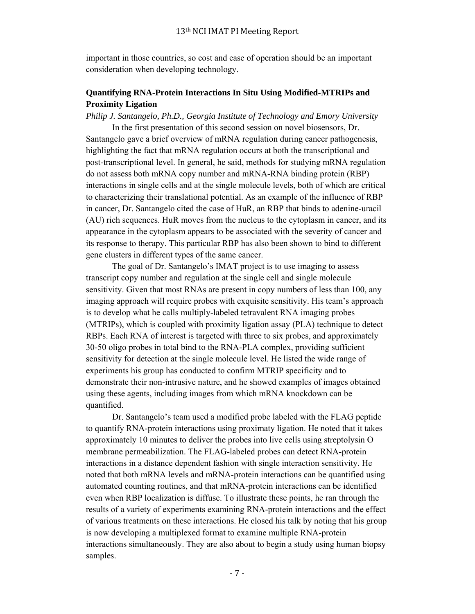important in those countries, so cost and ease of operation should be an important consideration when developing technology.

## **Quantifying RNA-Protein Interactions In Situ Using Modified-MTRIPs and Proximity Ligation**

*Philip J. Santangelo, Ph.D., Georgia Institute of Technology and Emory University*

 In the first presentation of this second session on novel biosensors, Dr. Santangelo gave a brief overview of mRNA regulation during cancer pathogenesis, highlighting the fact that mRNA regulation occurs at both the transcriptional and post-transcriptional level. In general, he said, methods for studying mRNA regulation do not assess both mRNA copy number and mRNA-RNA binding protein (RBP) interactions in single cells and at the single molecule levels, both of which are critical to characterizing their translational potential. As an example of the influence of RBP in cancer, Dr. Santangelo cited the case of HuR, an RBP that binds to adenine-uracil (AU) rich sequences. HuR moves from the nucleus to the cytoplasm in cancer, and its appearance in the cytoplasm appears to be associated with the severity of cancer and its response to therapy. This particular RBP has also been shown to bind to different gene clusters in different types of the same cancer.

 The goal of Dr. Santangelo's IMAT project is to use imaging to assess transcript copy number and regulation at the single cell and single molecule sensitivity. Given that most RNAs are present in copy numbers of less than 100, any imaging approach will require probes with exquisite sensitivity. His team's approach is to develop what he calls multiply-labeled tetravalent RNA imaging probes (MTRIPs), which is coupled with proximity ligation assay (PLA) technique to detect RBPs. Each RNA of interest is targeted with three to six probes, and approximately 30-50 oligo probes in total bind to the RNA-PLA complex, providing sufficient sensitivity for detection at the single molecule level. He listed the wide range of experiments his group has conducted to confirm MTRIP specificity and to demonstrate their non-intrusive nature, and he showed examples of images obtained using these agents, including images from which mRNA knockdown can be quantified.

 Dr. Santangelo's team used a modified probe labeled with the FLAG peptide to quantify RNA-protein interactions using proximaty ligation. He noted that it takes approximately 10 minutes to deliver the probes into live cells using streptolysin O membrane permeabilization. The FLAG-labeled probes can detect RNA-protein interactions in a distance dependent fashion with single interaction sensitivity. He noted that both mRNA levels and mRNA-protein interactions can be quantified using automated counting routines, and that mRNA-protein interactions can be identified even when RBP localization is diffuse. To illustrate these points, he ran through the results of a variety of experiments examining RNA-protein interactions and the effect of various treatments on these interactions. He closed his talk by noting that his group is now developing a multiplexed format to examine multiple RNA-protein interactions simultaneously. They are also about to begin a study using human biopsy samples.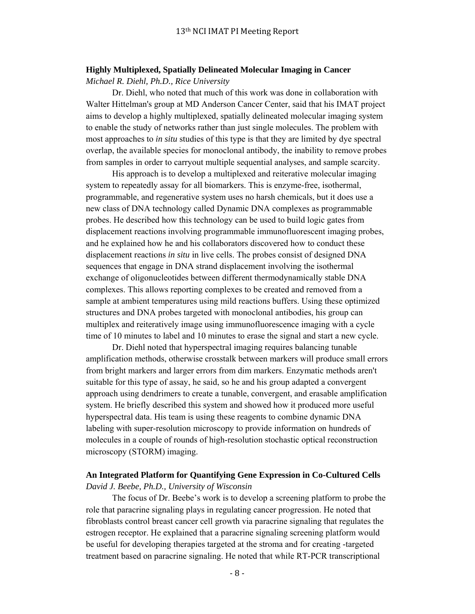# **Highly Multiplexed, Spatially Delineated Molecular Imaging in Cancer**

*Michael R. Diehl, Ph.D., Rice University*

 Dr. Diehl, who noted that much of this work was done in collaboration with Walter Hittelman's group at MD Anderson Cancer Center, said that his IMAT project aims to develop a highly multiplexed, spatially delineated molecular imaging system to enable the study of networks rather than just single molecules. The problem with most approaches to *in situ* studies of this type is that they are limited by dye spectral overlap, the available species for monoclonal antibody, the inability to remove probes from samples in order to carryout multiple sequential analyses, and sample scarcity.

 His approach is to develop a multiplexed and reiterative molecular imaging system to repeatedly assay for all biomarkers. This is enzyme-free, isothermal, programmable, and regenerative system uses no harsh chemicals, but it does use a new class of DNA technology called Dynamic DNA complexes as programmable probes. He described how this technology can be used to build logic gates from displacement reactions involving programmable immunofluorescent imaging probes, and he explained how he and his collaborators discovered how to conduct these displacement reactions *in situ* in live cells. The probes consist of designed DNA sequences that engage in DNA strand displacement involving the isothermal exchange of oligonucleotides between different thermodynamically stable DNA complexes. This allows reporting complexes to be created and removed from a sample at ambient temperatures using mild reactions buffers. Using these optimized structures and DNA probes targeted with monoclonal antibodies, his group can multiplex and reiteratively image using immunofluorescence imaging with a cycle time of 10 minutes to label and 10 minutes to erase the signal and start a new cycle.

 Dr. Diehl noted that hyperspectral imaging requires balancing tunable amplification methods, otherwise crosstalk between markers will produce small errors from bright markers and larger errors from dim markers. Enzymatic methods aren't suitable for this type of assay, he said, so he and his group adapted a convergent approach using dendrimers to create a tunable, convergent, and erasable amplification system. He briefly described this system and showed how it produced more useful hyperspectral data. His team is using these reagents to combine dynamic DNA labeling with super-resolution microscopy to provide information on hundreds of molecules in a couple of rounds of high-resolution stochastic optical reconstruction microscopy (STORM) imaging.

## **An Integrated Platform for Quantifying Gene Expression in Co-Cultured Cells** *David J. Beebe, Ph.D., University of Wisconsin*

 The focus of Dr. Beebe's work is to develop a screening platform to probe the role that paracrine signaling plays in regulating cancer progression. He noted that fibroblasts control breast cancer cell growth via paracrine signaling that regulates the estrogen receptor. He explained that a paracrine signaling screening platform would be useful for developing therapies targeted at the stroma and for creating -targeted treatment based on paracrine signaling. He noted that while RT-PCR transcriptional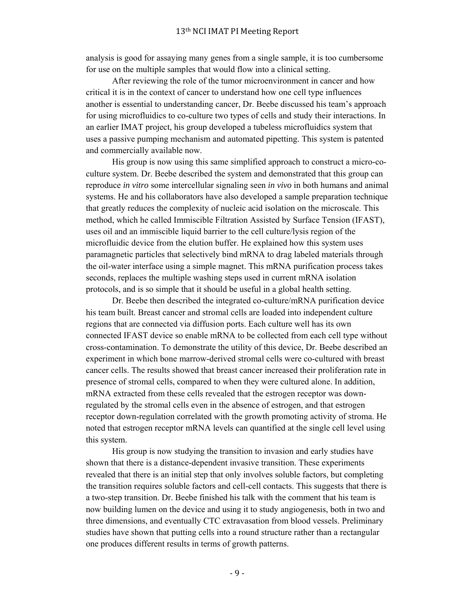analysis is good for assaying many genes from a single sample, it is too cumbersome for use on the multiple samples that would flow into a clinical setting.

 After reviewing the role of the tumor microenvironment in cancer and how critical it is in the context of cancer to understand how one cell type influences another is essential to understanding cancer, Dr. Beebe discussed his team's approach for using microfluidics to co-culture two types of cells and study their interactions. In an earlier IMAT project, his group developed a tubeless microfluidics system that uses a passive pumping mechanism and automated pipetting. This system is patented and commercially available now.

 His group is now using this same simplified approach to construct a micro-coculture system. Dr. Beebe described the system and demonstrated that this group can reproduce *in vitro* some intercellular signaling seen *in vivo* in both humans and animal systems. He and his collaborators have also developed a sample preparation technique that greatly reduces the complexity of nucleic acid isolation on the microscale. This method, which he called Immiscible Filtration Assisted by Surface Tension (IFAST), uses oil and an immiscible liquid barrier to the cell culture/lysis region of the microfluidic device from the elution buffer. He explained how this system uses paramagnetic particles that selectively bind mRNA to drag labeled materials through the oil-water interface using a simple magnet. This mRNA purification process takes seconds, replaces the multiple washing steps used in current mRNA isolation protocols, and is so simple that it should be useful in a global health setting.

 Dr. Beebe then described the integrated co-culture/mRNA purification device his team built. Breast cancer and stromal cells are loaded into independent culture regions that are connected via diffusion ports. Each culture well has its own connected IFAST device so enable mRNA to be collected from each cell type without cross-contamination. To demonstrate the utility of this device, Dr. Beebe described an experiment in which bone marrow-derived stromal cells were co-cultured with breast cancer cells. The results showed that breast cancer increased their proliferation rate in presence of stromal cells, compared to when they were cultured alone. In addition, mRNA extracted from these cells revealed that the estrogen receptor was downregulated by the stromal cells even in the absence of estrogen, and that estrogen receptor down-regulation correlated with the growth promoting activity of stroma. He noted that estrogen receptor mRNA levels can quantified at the single cell level using this system.

 His group is now studying the transition to invasion and early studies have shown that there is a distance-dependent invasive transition. These experiments revealed that there is an initial step that only involves soluble factors, but completing the transition requires soluble factors and cell-cell contacts. This suggests that there is a two-step transition. Dr. Beebe finished his talk with the comment that his team is now building lumen on the device and using it to study angiogenesis, both in two and three dimensions, and eventually CTC extravasation from blood vessels. Preliminary studies have shown that putting cells into a round structure rather than a rectangular one produces different results in terms of growth patterns.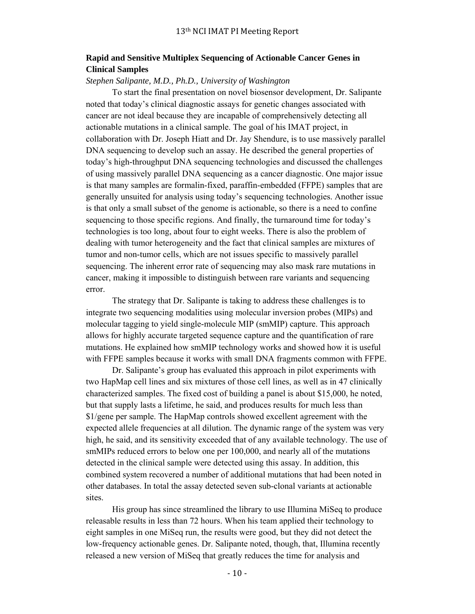## **Rapid and Sensitive Multiplex Sequencing of Actionable Cancer Genes in Clinical Samples**

### *Stephen Salipante, M.D., Ph.D., University of Washington*

 To start the final presentation on novel biosensor development, Dr. Salipante noted that today's clinical diagnostic assays for genetic changes associated with cancer are not ideal because they are incapable of comprehensively detecting all actionable mutations in a clinical sample. The goal of his IMAT project, in collaboration with Dr. Joseph Hiatt and Dr. Jay Shendure, is to use massively parallel DNA sequencing to develop such an assay. He described the general properties of today's high-throughput DNA sequencing technologies and discussed the challenges of using massively parallel DNA sequencing as a cancer diagnostic. One major issue is that many samples are formalin-fixed, paraffin-embedded (FFPE) samples that are generally unsuited for analysis using today's sequencing technologies. Another issue is that only a small subset of the genome is actionable, so there is a need to confine sequencing to those specific regions. And finally, the turnaround time for today's technologies is too long, about four to eight weeks. There is also the problem of dealing with tumor heterogeneity and the fact that clinical samples are mixtures of tumor and non-tumor cells, which are not issues specific to massively parallel sequencing. The inherent error rate of sequencing may also mask rare mutations in cancer, making it impossible to distinguish between rare variants and sequencing error.

 The strategy that Dr. Salipante is taking to address these challenges is to integrate two sequencing modalities using molecular inversion probes (MIPs) and molecular tagging to yield single-molecule MIP (smMIP) capture. This approach allows for highly accurate targeted sequence capture and the quantification of rare mutations. He explained how smMIP technology works and showed how it is useful with FFPE samples because it works with small DNA fragments common with FFPE.

 Dr. Salipante's group has evaluated this approach in pilot experiments with two HapMap cell lines and six mixtures of those cell lines, as well as in 47 clinically characterized samples. The fixed cost of building a panel is about \$15,000, he noted, but that supply lasts a lifetime, he said, and produces results for much less than \$1/gene per sample. The HapMap controls showed excellent agreement with the expected allele frequencies at all dilution. The dynamic range of the system was very high, he said, and its sensitivity exceeded that of any available technology. The use of smMIPs reduced errors to below one per 100,000, and nearly all of the mutations detected in the clinical sample were detected using this assay. In addition, this combined system recovered a number of additional mutations that had been noted in other databases. In total the assay detected seven sub-clonal variants at actionable sites.

 His group has since streamlined the library to use Illumina MiSeq to produce releasable results in less than 72 hours. When his team applied their technology to eight samples in one MiSeq run, the results were good, but they did not detect the low-frequency actionable genes. Dr. Salipante noted, though, that, Illumina recently released a new version of MiSeq that greatly reduces the time for analysis and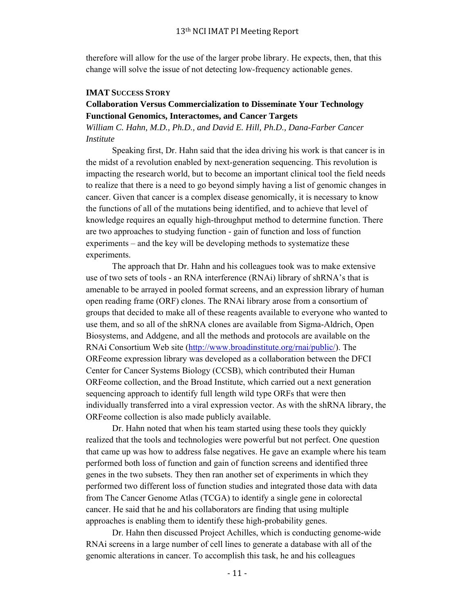therefore will allow for the use of the larger probe library. He expects, then, that this change will solve the issue of not detecting low-frequency actionable genes.

### **IMAT SUCCESS STORY**

## **Collaboration Versus Commercialization to Disseminate Your Technology Functional Genomics, Interactomes, and Cancer Targets**

*William C. Hahn, M.D., Ph.D., and David E. Hill, Ph.D., Dana-Farber Cancer Institute*

 Speaking first, Dr. Hahn said that the idea driving his work is that cancer is in the midst of a revolution enabled by next-generation sequencing. This revolution is impacting the research world, but to become an important clinical tool the field needs to realize that there is a need to go beyond simply having a list of genomic changes in cancer. Given that cancer is a complex disease genomically, it is necessary to know the functions of all of the mutations being identified, and to achieve that level of knowledge requires an equally high-throughput method to determine function. There are two approaches to studying function - gain of function and loss of function experiments – and the key will be developing methods to systematize these experiments.

 The approach that Dr. Hahn and his colleagues took was to make extensive use of two sets of tools - an RNA interference (RNAi) library of shRNA's that is amenable to be arrayed in pooled format screens, and an expression library of human open reading frame (ORF) clones. The RNAi library arose from a consortium of groups that decided to make all of these reagents available to everyone who wanted to use them, and so all of the shRNA clones are available from Sigma-Aldrich, Open Biosystems, and Addgene, and all the methods and protocols are available on the RNAi Consortium Web site (http://www.broadinstitute.org/rnai/public/). The ORFeome expression library was developed as a collaboration between the DFCI Center for Cancer Systems Biology (CCSB), which contributed their Human ORFeome collection, and the Broad Institute, which carried out a next generation sequencing approach to identify full length wild type ORFs that were then individually transferred into a viral expression vector. As with the shRNA library, the ORFeome collection is also made publicly available.

 Dr. Hahn noted that when his team started using these tools they quickly realized that the tools and technologies were powerful but not perfect. One question that came up was how to address false negatives. He gave an example where his team performed both loss of function and gain of function screens and identified three genes in the two subsets. They then ran another set of experiments in which they performed two different loss of function studies and integrated those data with data from The Cancer Genome Atlas (TCGA) to identify a single gene in colorectal cancer. He said that he and his collaborators are finding that using multiple approaches is enabling them to identify these high-probability genes.

 Dr. Hahn then discussed Project Achilles, which is conducting genome-wide RNAi screens in a large number of cell lines to generate a database with all of the genomic alterations in cancer. To accomplish this task, he and his colleagues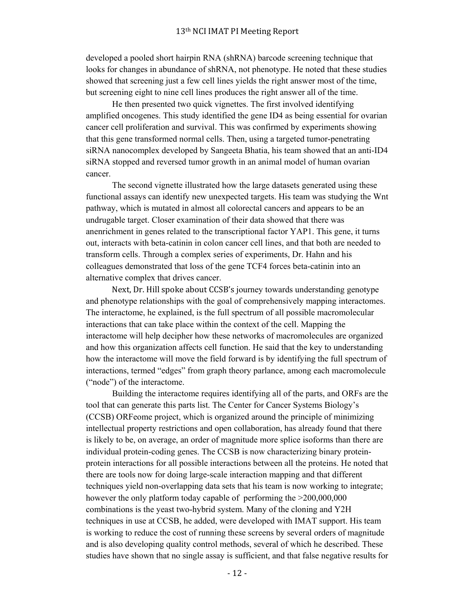developed a pooled short hairpin RNA (shRNA) barcode screening technique that looks for changes in abundance of shRNA, not phenotype. He noted that these studies showed that screening just a few cell lines yields the right answer most of the time, but screening eight to nine cell lines produces the right answer all of the time.

 He then presented two quick vignettes. The first involved identifying amplified oncogenes. This study identified the gene ID4 as being essential for ovarian cancer cell proliferation and survival. This was confirmed by experiments showing that this gene transformed normal cells. Then, using a targeted tumor-penetrating siRNA nanocomplex developed by Sangeeta Bhatia, his team showed that an anti-ID4 siRNA stopped and reversed tumor growth in an animal model of human ovarian cancer.

 The second vignette illustrated how the large datasets generated using these functional assays can identify new unexpected targets. His team was studying the Wnt pathway, which is mutated in almost all colorectal cancers and appears to be an undrugable target. Closer examination of their data showed that there was anenrichment in genes related to the transcriptional factor YAP1. This gene, it turns out, interacts with beta-catinin in colon cancer cell lines, and that both are needed to transform cells. Through a complex series of experiments, Dr. Hahn and his colleagues demonstrated that loss of the gene TCF4 forces beta-catinin into an alternative complex that drives cancer.

Next, Dr. Hill spoke about CCSB's journey towards understanding genotype and phenotype relationships with the goal of comprehensively mapping interactomes. The interactome, he explained, is the full spectrum of all possible macromolecular interactions that can take place within the context of the cell. Mapping the interactome will help decipher how these networks of macromolecules are organized and how this organization affects cell function. He said that the key to understanding how the interactome will move the field forward is by identifying the full spectrum of interactions, termed "edges" from graph theory parlance, among each macromolecule ("node") of the interactome.

 Building the interactome requires identifying all of the parts, and ORFs are the tool that can generate this parts list. The Center for Cancer Systems Biology's (CCSB) ORFeome project, which is organized around the principle of minimizing intellectual property restrictions and open collaboration, has already found that there is likely to be, on average, an order of magnitude more splice isoforms than there are individual protein-coding genes. The CCSB is now characterizing binary proteinprotein interactions for all possible interactions between all the proteins. He noted that there are tools now for doing large-scale interaction mapping and that different techniques yield non-overlapping data sets that his team is now working to integrate; however the only platform today capable of performing the  $>200,000,000$ combinations is the yeast two-hybrid system. Many of the cloning and Y2H techniques in use at CCSB, he added, were developed with IMAT support. His team is working to reduce the cost of running these screens by several orders of magnitude and is also developing quality control methods, several of which he described. These studies have shown that no single assay is sufficient, and that false negative results for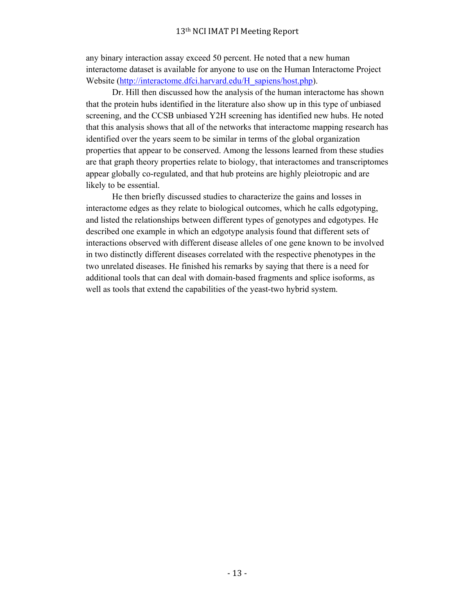any binary interaction assay exceed 50 percent. He noted that a new human interactome dataset is available for anyone to use on the Human Interactome Project Website (http://interactome.dfci.harvard.edu/H\_sapiens/host.php).

 Dr. Hill then discussed how the analysis of the human interactome has shown that the protein hubs identified in the literature also show up in this type of unbiased screening, and the CCSB unbiased Y2H screening has identified new hubs. He noted that this analysis shows that all of the networks that interactome mapping research has identified over the years seem to be similar in terms of the global organization properties that appear to be conserved. Among the lessons learned from these studies are that graph theory properties relate to biology, that interactomes and transcriptomes appear globally co-regulated, and that hub proteins are highly pleiotropic and are likely to be essential.

 He then briefly discussed studies to characterize the gains and losses in interactome edges as they relate to biological outcomes, which he calls edgotyping, and listed the relationships between different types of genotypes and edgotypes. He described one example in which an edgotype analysis found that different sets of interactions observed with different disease alleles of one gene known to be involved in two distinctly different diseases correlated with the respective phenotypes in the two unrelated diseases. He finished his remarks by saying that there is a need for additional tools that can deal with domain-based fragments and splice isoforms, as well as tools that extend the capabilities of the yeast-two hybrid system.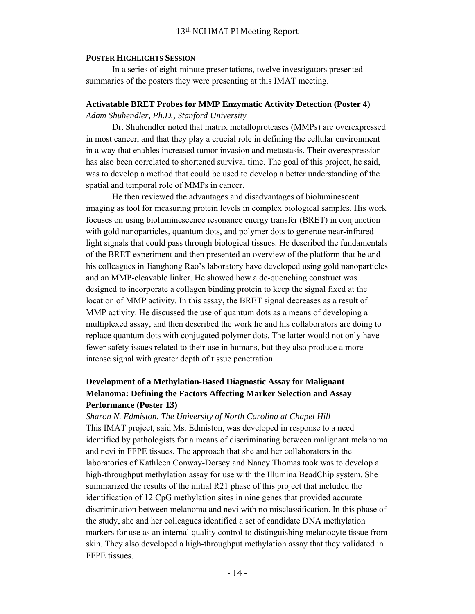#### **POSTER HIGHLIGHTS SESSION**

 In a series of eight-minute presentations, twelve investigators presented summaries of the posters they were presenting at this IMAT meeting.

#### **Activatable BRET Probes for MMP Enzymatic Activity Detection (Poster 4)**

*Adam Shuhendler, Ph.D., Stanford University*

 Dr. Shuhendler noted that matrix metalloproteases (MMPs) are overexpressed in most cancer, and that they play a crucial role in defining the cellular environment in a way that enables increased tumor invasion and metastasis. Their overexpression has also been correlated to shortened survival time. The goal of this project, he said, was to develop a method that could be used to develop a better understanding of the spatial and temporal role of MMPs in cancer.

 He then reviewed the advantages and disadvantages of bioluminescent imaging as tool for measuring protein levels in complex biological samples. His work focuses on using bioluminescence resonance energy transfer (BRET) in conjunction with gold nanoparticles, quantum dots, and polymer dots to generate near-infrared light signals that could pass through biological tissues. He described the fundamentals of the BRET experiment and then presented an overview of the platform that he and his colleagues in Jianghong Rao's laboratory have developed using gold nanoparticles and an MMP-cleavable linker. He showed how a de-quenching construct was designed to incorporate a collagen binding protein to keep the signal fixed at the location of MMP activity. In this assay, the BRET signal decreases as a result of MMP activity. He discussed the use of quantum dots as a means of developing a multiplexed assay, and then described the work he and his collaborators are doing to replace quantum dots with conjugated polymer dots. The latter would not only have fewer safety issues related to their use in humans, but they also produce a more intense signal with greater depth of tissue penetration.

## **Development of a Methylation-Based Diagnostic Assay for Malignant Melanoma: Defining the Factors Affecting Marker Selection and Assay Performance (Poster 13)**

*Sharon N. Edmiston, The University of North Carolina at Chapel Hill* This IMAT project, said Ms. Edmiston, was developed in response to a need identified by pathologists for a means of discriminating between malignant melanoma and nevi in FFPE tissues. The approach that she and her collaborators in the laboratories of Kathleen Conway-Dorsey and Nancy Thomas took was to develop a high-throughput methylation assay for use with the Illumina BeadChip system. She summarized the results of the initial R21 phase of this project that included the identification of 12 CpG methylation sites in nine genes that provided accurate discrimination between melanoma and nevi with no misclassification. In this phase of the study, she and her colleagues identified a set of candidate DNA methylation markers for use as an internal quality control to distinguishing melanocyte tissue from skin. They also developed a high-throughput methylation assay that they validated in FFPE tissues.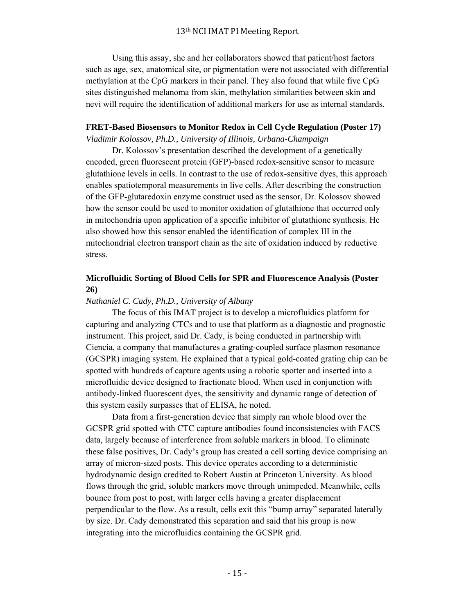Using this assay, she and her collaborators showed that patient/host factors such as age, sex, anatomical site, or pigmentation were not associated with differential methylation at the CpG markers in their panel. They also found that while five CpG sites distinguished melanoma from skin, methylation similarities between skin and nevi will require the identification of additional markers for use as internal standards.

## **FRET-Based Biosensors to Monitor Redox in Cell Cycle Regulation (Poster 17)**

*Vladimir Kolossov, Ph.D., University of Illinois, Urbana-Champaign*

 Dr. Kolossov's presentation described the development of a genetically encoded, green fluorescent protein (GFP)-based redox-sensitive sensor to measure glutathione levels in cells. In contrast to the use of redox-sensitive dyes, this approach enables spatiotemporal measurements in live cells. After describing the construction of the GFP-glutaredoxin enzyme construct used as the sensor, Dr. Kolossov showed how the sensor could be used to monitor oxidation of glutathione that occurred only in mitochondria upon application of a specific inhibitor of glutathione synthesis. He also showed how this sensor enabled the identification of complex III in the mitochondrial electron transport chain as the site of oxidation induced by reductive stress.

## **Microfluidic Sorting of Blood Cells for SPR and Fluorescence Analysis (Poster 26)**

### *Nathaniel C. Cady, Ph.D., University of Albany*

 The focus of this IMAT project is to develop a microfluidics platform for capturing and analyzing CTCs and to use that platform as a diagnostic and prognostic instrument. This project, said Dr. Cady, is being conducted in partnership with Ciencia, a company that manufactures a grating-coupled surface plasmon resonance (GCSPR) imaging system. He explained that a typical gold-coated grating chip can be spotted with hundreds of capture agents using a robotic spotter and inserted into a microfluidic device designed to fractionate blood. When used in conjunction with antibody-linked fluorescent dyes, the sensitivity and dynamic range of detection of this system easily surpasses that of ELISA, he noted.

 Data from a first-generation device that simply ran whole blood over the GCSPR grid spotted with CTC capture antibodies found inconsistencies with FACS data, largely because of interference from soluble markers in blood. To eliminate these false positives, Dr. Cady's group has created a cell sorting device comprising an array of micron-sized posts. This device operates according to a deterministic hydrodynamic design credited to Robert Austin at Princeton University. As blood flows through the grid, soluble markers move through unimpeded. Meanwhile, cells bounce from post to post, with larger cells having a greater displacement perpendicular to the flow. As a result, cells exit this "bump array" separated laterally by size. Dr. Cady demonstrated this separation and said that his group is now integrating into the microfluidics containing the GCSPR grid.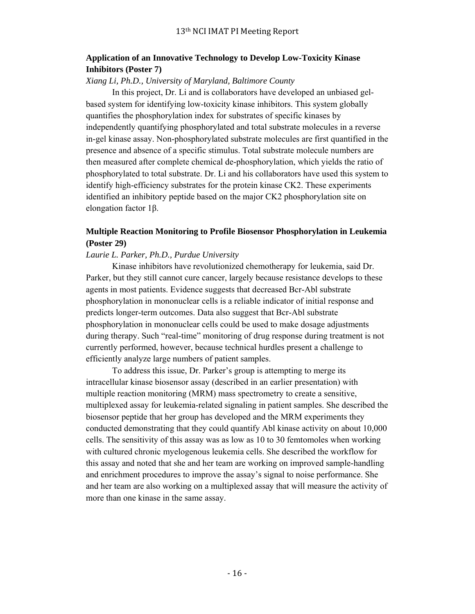## **Application of an Innovative Technology to Develop Low-Toxicity Kinase Inhibitors (Poster 7)**

### *Xiang Li, Ph.D., University of Maryland, Baltimore County*

 In this project, Dr. Li and is collaborators have developed an unbiased gelbased system for identifying low-toxicity kinase inhibitors. This system globally quantifies the phosphorylation index for substrates of specific kinases by independently quantifying phosphorylated and total substrate molecules in a reverse in-gel kinase assay. Non-phosphorylated substrate molecules are first quantified in the presence and absence of a specific stimulus. Total substrate molecule numbers are then measured after complete chemical de-phosphorylation, which yields the ratio of phosphorylated to total substrate. Dr. Li and his collaborators have used this system to identify high-efficiency substrates for the protein kinase CK2. These experiments identified an inhibitory peptide based on the major CK2 phosphorylation site on elongation factor 1β.

## **Multiple Reaction Monitoring to Profile Biosensor Phosphorylation in Leukemia (Poster 29)**

### *Laurie L. Parker, Ph.D., Purdue University*

 Kinase inhibitors have revolutionized chemotherapy for leukemia, said Dr. Parker, but they still cannot cure cancer, largely because resistance develops to these agents in most patients. Evidence suggests that decreased Bcr-Abl substrate phosphorylation in mononuclear cells is a reliable indicator of initial response and predicts longer-term outcomes. Data also suggest that Bcr-Abl substrate phosphorylation in mononuclear cells could be used to make dosage adjustments during therapy. Such "real-time" monitoring of drug response during treatment is not currently performed, however, because technical hurdles present a challenge to efficiently analyze large numbers of patient samples.

 To address this issue, Dr. Parker's group is attempting to merge its intracellular kinase biosensor assay (described in an earlier presentation) with multiple reaction monitoring (MRM) mass spectrometry to create a sensitive, multiplexed assay for leukemia-related signaling in patient samples. She described the biosensor peptide that her group has developed and the MRM experiments they conducted demonstrating that they could quantify Abl kinase activity on about 10,000 cells. The sensitivity of this assay was as low as 10 to 30 femtomoles when working with cultured chronic myelogenous leukemia cells. She described the workflow for this assay and noted that she and her team are working on improved sample-handling and enrichment procedures to improve the assay's signal to noise performance. She and her team are also working on a multiplexed assay that will measure the activity of more than one kinase in the same assay.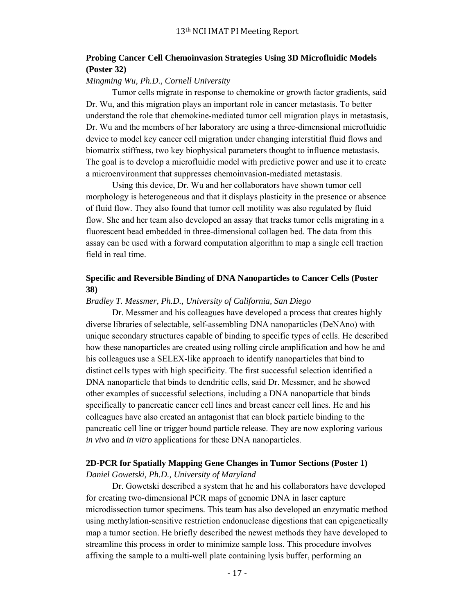## **Probing Cancer Cell Chemoinvasion Strategies Using 3D Microfluidic Models (Poster 32)**

## *Mingming Wu, Ph.D., Cornell University*

 Tumor cells migrate in response to chemokine or growth factor gradients, said Dr. Wu, and this migration plays an important role in cancer metastasis. To better understand the role that chemokine-mediated tumor cell migration plays in metastasis, Dr. Wu and the members of her laboratory are using a three-dimensional microfluidic device to model key cancer cell migration under changing interstitial fluid flows and biomatrix stiffness, two key biophysical parameters thought to influence metastasis. The goal is to develop a microfluidic model with predictive power and use it to create a microenvironment that suppresses chemoinvasion-mediated metastasis.

 Using this device, Dr. Wu and her collaborators have shown tumor cell morphology is heterogeneous and that it displays plasticity in the presence or absence of fluid flow. They also found that tumor cell motility was also regulated by fluid flow. She and her team also developed an assay that tracks tumor cells migrating in a fluorescent bead embedded in three-dimensional collagen bed. The data from this assay can be used with a forward computation algorithm to map a single cell traction field in real time.

## **Specific and Reversible Binding of DNA Nanoparticles to Cancer Cells (Poster 38)**

#### *Bradley T. Messmer, Ph.D., University of California, San Diego*

 Dr. Messmer and his colleagues have developed a process that creates highly diverse libraries of selectable, self-assembling DNA nanoparticles (DeNAno) with unique secondary structures capable of binding to specific types of cells. He described how these nanoparticles are created using rolling circle amplification and how he and his colleagues use a SELEX-like approach to identify nanoparticles that bind to distinct cells types with high specificity. The first successful selection identified a DNA nanoparticle that binds to dendritic cells, said Dr. Messmer, and he showed other examples of successful selections, including a DNA nanoparticle that binds specifically to pancreatic cancer cell lines and breast cancer cell lines. He and his colleagues have also created an antagonist that can block particle binding to the pancreatic cell line or trigger bound particle release. They are now exploring various *in vivo* and *in vitro* applications for these DNA nanoparticles.

# **2D-PCR for Spatially Mapping Gene Changes in Tumor Sections (Poster 1)**

*Daniel Gowetski, Ph.D., University of Maryland*

 Dr. Gowetski described a system that he and his collaborators have developed for creating two-dimensional PCR maps of genomic DNA in laser capture microdissection tumor specimens. This team has also developed an enzymatic method using methylation-sensitive restriction endonuclease digestions that can epigenetically map a tumor section. He briefly described the newest methods they have developed to streamline this process in order to minimize sample loss. This procedure involves affixing the sample to a multi-well plate containing lysis buffer, performing an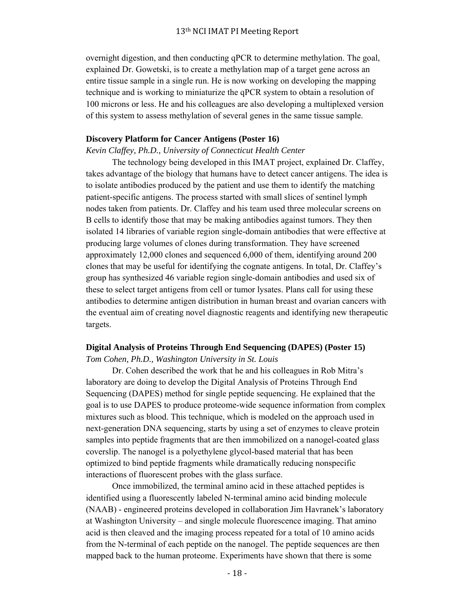overnight digestion, and then conducting qPCR to determine methylation. The goal, explained Dr. Gowetski, is to create a methylation map of a target gene across an entire tissue sample in a single run. He is now working on developing the mapping technique and is working to miniaturize the qPCR system to obtain a resolution of 100 microns or less. He and his colleagues are also developing a multiplexed version of this system to assess methylation of several genes in the same tissue sample.

#### **Discovery Platform for Cancer Antigens (Poster 16)**

*Kevin Claffey, Ph.D., University of Connecticut Health Center*

 The technology being developed in this IMAT project, explained Dr. Claffey, takes advantage of the biology that humans have to detect cancer antigens. The idea is to isolate antibodies produced by the patient and use them to identify the matching patient-specific antigens. The process started with small slices of sentinel lymph nodes taken from patients. Dr. Claffey and his team used three molecular screens on B cells to identify those that may be making antibodies against tumors. They then isolated 14 libraries of variable region single-domain antibodies that were effective at producing large volumes of clones during transformation. They have screened approximately 12,000 clones and sequenced 6,000 of them, identifying around 200 clones that may be useful for identifying the cognate antigens. In total, Dr. Claffey's group has synthesized 46 variable region single-domain antibodies and used six of these to select target antigens from cell or tumor lysates. Plans call for using these antibodies to determine antigen distribution in human breast and ovarian cancers with the eventual aim of creating novel diagnostic reagents and identifying new therapeutic targets.

### **Digital Analysis of Proteins Through End Sequencing (DAPES) (Poster 15)**

*Tom Cohen, Ph.D., Washington University in St. Louis*

 Dr. Cohen described the work that he and his colleagues in Rob Mitra's laboratory are doing to develop the Digital Analysis of Proteins Through End Sequencing (DAPES) method for single peptide sequencing. He explained that the goal is to use DAPES to produce proteome-wide sequence information from complex mixtures such as blood. This technique, which is modeled on the approach used in next-generation DNA sequencing, starts by using a set of enzymes to cleave protein samples into peptide fragments that are then immobilized on a nanogel-coated glass coverslip. The nanogel is a polyethylene glycol-based material that has been optimized to bind peptide fragments while dramatically reducing nonspecific interactions of fluorescent probes with the glass surface.

 Once immobilized, the terminal amino acid in these attached peptides is identified using a fluorescently labeled N-terminal amino acid binding molecule (NAAB) - engineered proteins developed in collaboration Jim Havranek's laboratory at Washington University – and single molecule fluorescence imaging. That amino acid is then cleaved and the imaging process repeated for a total of 10 amino acids from the N-terminal of each peptide on the nanogel. The peptide sequences are then mapped back to the human proteome. Experiments have shown that there is some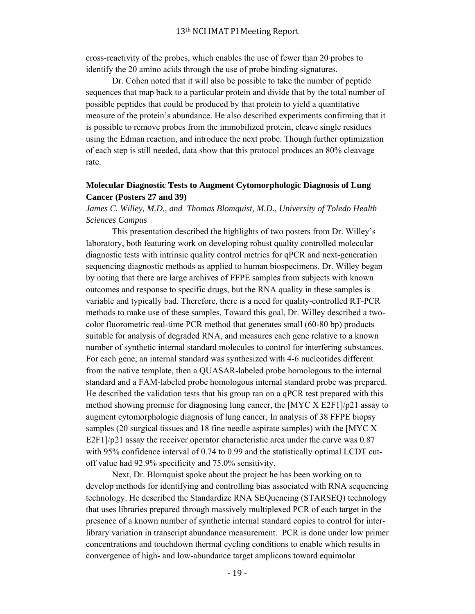cross-reactivity of the probes, which enables the use of fewer than 20 probes to identify the 20 amino acids through the use of probe binding signatures.

 Dr. Cohen noted that it will also be possible to take the number of peptide sequences that map back to a particular protein and divide that by the total number of possible peptides that could be produced by that protein to yield a quantitative measure of the protein's abundance. He also described experiments confirming that it is possible to remove probes from the immobilized protein, cleave single residues using the Edman reaction, and introduce the next probe. Though further optimization of each step is still needed, data show that this protocol produces an 80% cleavage rate.

## **Molecular Diagnostic Tests to Augment Cytomorphologic Diagnosis of Lung Cancer (Posters 27 and 39)**

*James C. Willey, M.D., and Thomas Blomquist, M.D*., *University of Toledo Health Sciences Campus*

 This presentation described the highlights of two posters from Dr. Willey's laboratory, both featuring work on developing robust quality controlled molecular diagnostic tests with intrinsic quality control metrics for qPCR and next-generation sequencing diagnostic methods as applied to human biospecimens. Dr. Willey began by noting that there are large archives of FFPE samples from subjects with known outcomes and response to specific drugs, but the RNA quality in these samples is variable and typically bad. Therefore, there is a need for quality-controlled RT-PCR methods to make use of these samples. Toward this goal, Dr. Willey described a twocolor fluorometric real-time PCR method that generates small (60-80 bp) products suitable for analysis of degraded RNA, and measures each gene relative to a known number of synthetic internal standard molecules to control for interfering substances. For each gene, an internal standard was synthesized with 4-6 nucleotides different from the native template, then a QUASAR-labeled probe homologous to the internal standard and a FAM-labeled probe homologous internal standard probe was prepared. He described the validation tests that his group ran on a qPCR test prepared with this method showing promise for diagnosing lung cancer, the [MYC X E2F1]/p21 assay to augment cytomorphologic diagnosis of lung cancer, In analysis of 38 FFPE biopsy samples (20 surgical tissues and 18 fine needle aspirate samples) with the [MYC X E2F1]/p21 assay the receiver operator characteristic area under the curve was  $0.87$ with 95% confidence interval of 0.74 to 0.99 and the statistically optimal LCDT cutoff value had 92.9% specificity and 75.0% sensitivity.

 Next, Dr. Blomquist spoke about the project he has been working on to develop methods for identifying and controlling bias associated with RNA sequencing technology. He described the Standardize RNA SEQuencing (STARSEQ) technology that uses libraries prepared through massively multiplexed PCR of each target in the presence of a known number of synthetic internal standard copies to control for interlibrary variation in transcript abundance measurement. PCR is done under low primer concentrations and touchdown thermal cycling conditions to enable which results in convergence of high- and low-abundance target amplicons toward equimolar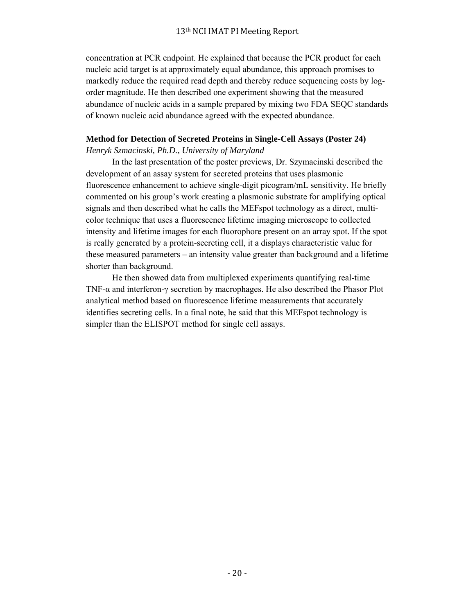concentration at PCR endpoint. He explained that because the PCR product for each nucleic acid target is at approximately equal abundance, this approach promises to markedly reduce the required read depth and thereby reduce sequencing costs by logorder magnitude. He then described one experiment showing that the measured abundance of nucleic acids in a sample prepared by mixing two FDA SEQC standards of known nucleic acid abundance agreed with the expected abundance.

## **Method for Detection of Secreted Proteins in Single-Cell Assays (Poster 24)**

*Henryk Szmacinski, Ph.D., University of Maryland*

 In the last presentation of the poster previews, Dr. Szymacinski described the development of an assay system for secreted proteins that uses plasmonic fluorescence enhancement to achieve single-digit picogram/mL sensitivity. He briefly commented on his group's work creating a plasmonic substrate for amplifying optical signals and then described what he calls the MEFspot technology as a direct, multicolor technique that uses a fluorescence lifetime imaging microscope to collected intensity and lifetime images for each fluorophore present on an array spot. If the spot is really generated by a protein-secreting cell, it a displays characteristic value for these measured parameters – an intensity value greater than background and a lifetime shorter than background.

 He then showed data from multiplexed experiments quantifying real-time TNF-α and interferon-γ secretion by macrophages. He also described the Phasor Plot analytical method based on fluorescence lifetime measurements that accurately identifies secreting cells. In a final note, he said that this MEFspot technology is simpler than the ELISPOT method for single cell assays.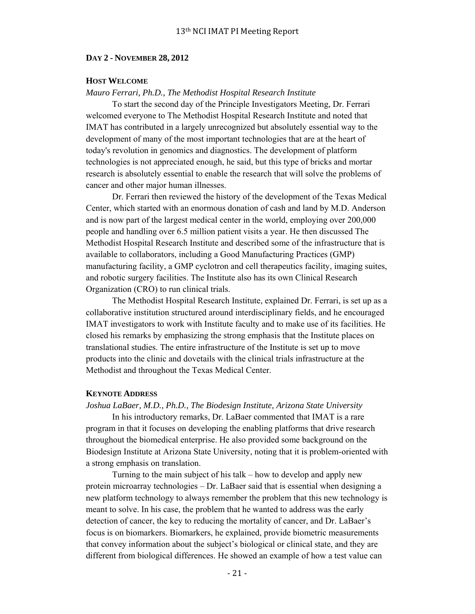#### **DAY 2 - NOVEMBER 28, 2012**

### **HOST WELCOME**

### *Mauro Ferrari, Ph.D., The Methodist Hospital Research Institute*

 To start the second day of the Principle Investigators Meeting, Dr. Ferrari welcomed everyone to The Methodist Hospital Research Institute and noted that IMAT has contributed in a largely unrecognized but absolutely essential way to the development of many of the most important technologies that are at the heart of today's revolution in genomics and diagnostics. The development of platform technologies is not appreciated enough, he said, but this type of bricks and mortar research is absolutely essential to enable the research that will solve the problems of cancer and other major human illnesses.

 Dr. Ferrari then reviewed the history of the development of the Texas Medical Center, which started with an enormous donation of cash and land by M.D. Anderson and is now part of the largest medical center in the world, employing over 200,000 people and handling over 6.5 million patient visits a year. He then discussed The Methodist Hospital Research Institute and described some of the infrastructure that is available to collaborators, including a Good Manufacturing Practices (GMP) manufacturing facility, a GMP cyclotron and cell therapeutics facility, imaging suites, and robotic surgery facilities. The Institute also has its own Clinical Research Organization (CRO) to run clinical trials.

 The Methodist Hospital Research Institute, explained Dr. Ferrari, is set up as a collaborative institution structured around interdisciplinary fields, and he encouraged IMAT investigators to work with Institute faculty and to make use of its facilities. He closed his remarks by emphasizing the strong emphasis that the Institute places on translational studies. The entire infrastructure of the Institute is set up to move products into the clinic and dovetails with the clinical trials infrastructure at the Methodist and throughout the Texas Medical Center.

#### **KEYNOTE ADDRESS**

#### *Joshua LaBaer, M.D., Ph.D., The Biodesign Institute, Arizona State University*

 In his introductory remarks, Dr. LaBaer commented that IMAT is a rare program in that it focuses on developing the enabling platforms that drive research throughout the biomedical enterprise. He also provided some background on the Biodesign Institute at Arizona State University, noting that it is problem-oriented with a strong emphasis on translation.

 Turning to the main subject of his talk – how to develop and apply new protein microarray technologies – Dr. LaBaer said that is essential when designing a new platform technology to always remember the problem that this new technology is meant to solve. In his case, the problem that he wanted to address was the early detection of cancer, the key to reducing the mortality of cancer, and Dr. LaBaer's focus is on biomarkers. Biomarkers, he explained, provide biometric measurements that convey information about the subject's biological or clinical state, and they are different from biological differences. He showed an example of how a test value can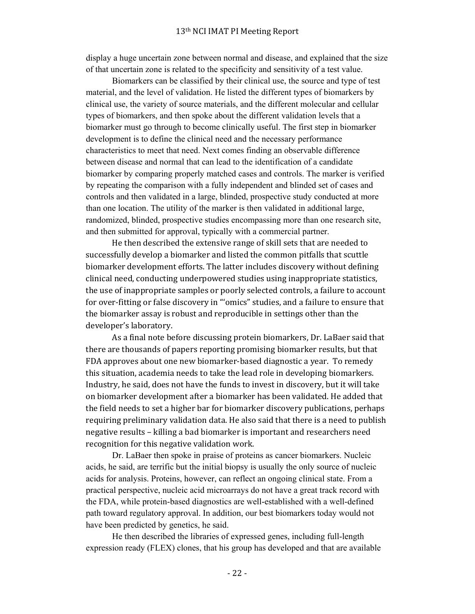display a huge uncertain zone between normal and disease, and explained that the size of that uncertain zone is related to the specificity and sensitivity of a test value.

 Biomarkers can be classified by their clinical use, the source and type of test material, and the level of validation. He listed the different types of biomarkers by clinical use, the variety of source materials, and the different molecular and cellular types of biomarkers, and then spoke about the different validation levels that a biomarker must go through to become clinically useful. The first step in biomarker development is to define the clinical need and the necessary performance characteristics to meet that need. Next comes finding an observable difference between disease and normal that can lead to the identification of a candidate biomarker by comparing properly matched cases and controls. The marker is verified by repeating the comparison with a fully independent and blinded set of cases and controls and then validated in a large, blinded, prospective study conducted at more than one location. The utility of the marker is then validated in additional large, randomized, blinded, prospective studies encompassing more than one research site, and then submitted for approval, typically with a commercial partner.

He then described the extensive range of skill sets that are needed to successfully develop a biomarker and listed the common pitfalls that scuttle biomarker development efforts. The latter includes discovery without defining clinical need, conducting underpowered studies using inappropriate statistics, the use of inappropriate samples or poorly selected controls, a failure to account for over-fitting or false discovery in "'omics" studies, and a failure to ensure that the biomarker assay is robust and reproducible in settings other than the developer's laboratory.

As a final note before discussing protein biomarkers, Dr. LaBaer said that there are thousands of papers reporting promising biomarker results, but that FDA approves about one new biomarker-based diagnostic a year. To remedy this situation, academia needs to take the lead role in developing biomarkers. Industry, he said, does not have the funds to invest in discovery, but it will take on biomarker development after a biomarker has been validated. He added that the field needs to set a higher bar for biomarker discovery publications, perhaps requiring preliminary validation data. He also said that there is a need to publish negative results – killing a bad biomarker is important and researchers need recognition for this negative validation work.

 Dr. LaBaer then spoke in praise of proteins as cancer biomarkers. Nucleic acids, he said, are terrific but the initial biopsy is usually the only source of nucleic acids for analysis. Proteins, however, can reflect an ongoing clinical state. From a practical perspective, nucleic acid microarrays do not have a great track record with the FDA, while protein-based diagnostics are well-established with a well-defined path toward regulatory approval. In addition, our best biomarkers today would not have been predicted by genetics, he said.

 He then described the libraries of expressed genes, including full-length expression ready (FLEX) clones, that his group has developed and that are available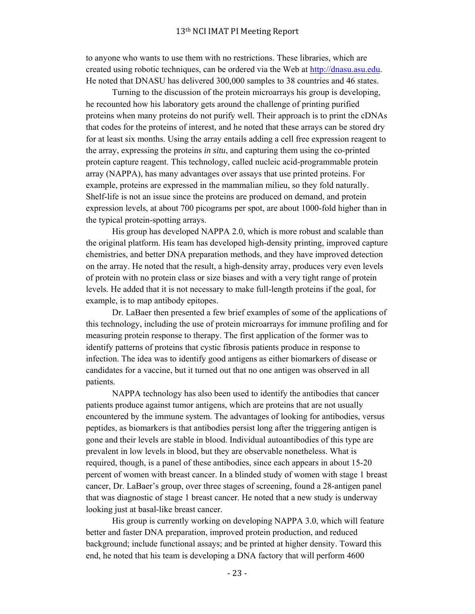to anyone who wants to use them with no restrictions. These libraries, which are created using robotic techniques, can be ordered via the Web at http://dnasu.asu.edu. He noted that DNASU has delivered 300,000 samples to 38 countries and 46 states.

 Turning to the discussion of the protein microarrays his group is developing, he recounted how his laboratory gets around the challenge of printing purified proteins when many proteins do not purify well. Their approach is to print the cDNAs that codes for the proteins of interest, and he noted that these arrays can be stored dry for at least six months. Using the array entails adding a cell free expression reagent to the array, expressing the proteins *in situ*, and capturing them using the co-printed protein capture reagent. This technology, called nucleic acid-programmable protein array (NAPPA), has many advantages over assays that use printed proteins. For example, proteins are expressed in the mammalian milieu, so they fold naturally. Shelf-life is not an issue since the proteins are produced on demand, and protein expression levels, at about 700 picograms per spot, are about 1000-fold higher than in the typical protein-spotting arrays.

 His group has developed NAPPA 2.0, which is more robust and scalable than the original platform. His team has developed high-density printing, improved capture chemistries, and better DNA preparation methods, and they have improved detection on the array. He noted that the result, a high-density array, produces very even levels of protein with no protein class or size biases and with a very tight range of protein levels. He added that it is not necessary to make full-length proteins if the goal, for example, is to map antibody epitopes.

 Dr. LaBaer then presented a few brief examples of some of the applications of this technology, including the use of protein microarrays for immune profiling and for measuring protein response to therapy. The first application of the former was to identify patterns of proteins that cystic fibrosis patients produce in response to infection. The idea was to identify good antigens as either biomarkers of disease or candidates for a vaccine, but it turned out that no one antigen was observed in all patients.

 NAPPA technology has also been used to identify the antibodies that cancer patients produce against tumor antigens, which are proteins that are not usually encountered by the immune system. The advantages of looking for antibodies, versus peptides, as biomarkers is that antibodies persist long after the triggering antigen is gone and their levels are stable in blood. Individual autoantibodies of this type are prevalent in low levels in blood, but they are observable nonetheless. What is required, though, is a panel of these antibodies, since each appears in about 15-20 percent of women with breast cancer. In a blinded study of women with stage 1 breast cancer, Dr. LaBaer's group, over three stages of screening, found a 28-antigen panel that was diagnostic of stage 1 breast cancer. He noted that a new study is underway looking just at basal-like breast cancer.

 His group is currently working on developing NAPPA 3.0, which will feature better and faster DNA preparation, improved protein production, and reduced background; include functional assays; and be printed at higher density. Toward this end, he noted that his team is developing a DNA factory that will perform 4600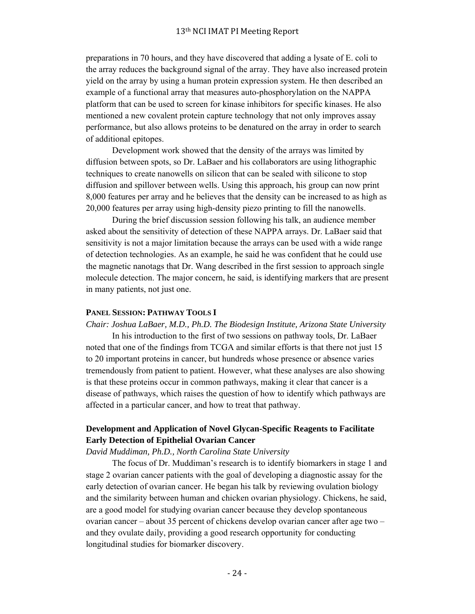preparations in 70 hours, and they have discovered that adding a lysate of E. coli to the array reduces the background signal of the array. They have also increased protein yield on the array by using a human protein expression system. He then described an example of a functional array that measures auto-phosphorylation on the NAPPA platform that can be used to screen for kinase inhibitors for specific kinases. He also mentioned a new covalent protein capture technology that not only improves assay performance, but also allows proteins to be denatured on the array in order to search of additional epitopes.

 Development work showed that the density of the arrays was limited by diffusion between spots, so Dr. LaBaer and his collaborators are using lithographic techniques to create nanowells on silicon that can be sealed with silicone to stop diffusion and spillover between wells. Using this approach, his group can now print 8,000 features per array and he believes that the density can be increased to as high as 20,000 features per array using high-density piezo printing to fill the nanowells.

 During the brief discussion session following his talk, an audience member asked about the sensitivity of detection of these NAPPA arrays. Dr. LaBaer said that sensitivity is not a major limitation because the arrays can be used with a wide range of detection technologies. As an example, he said he was confident that he could use the magnetic nanotags that Dr. Wang described in the first session to approach single molecule detection. The major concern, he said, is identifying markers that are present in many patients, not just one.

## **PANEL SESSION: PATHWAY TOOLS I**

*Chair: Joshua LaBaer, M.D., Ph.D. The Biodesign Institute, Arizona State University* In his introduction to the first of two sessions on pathway tools, Dr. LaBaer noted that one of the findings from TCGA and similar efforts is that there not just 15 to 20 important proteins in cancer, but hundreds whose presence or absence varies tremendously from patient to patient. However, what these analyses are also showing is that these proteins occur in common pathways, making it clear that cancer is a disease of pathways, which raises the question of how to identify which pathways are affected in a particular cancer, and how to treat that pathway.

## **Development and Application of Novel Glycan-Specific Reagents to Facilitate Early Detection of Epithelial Ovarian Cancer**

### *David Muddiman, Ph.D., North Carolina State University*

 The focus of Dr. Muddiman's research is to identify biomarkers in stage 1 and stage 2 ovarian cancer patients with the goal of developing a diagnostic assay for the early detection of ovarian cancer. He began his talk by reviewing ovulation biology and the similarity between human and chicken ovarian physiology. Chickens, he said, are a good model for studying ovarian cancer because they develop spontaneous ovarian cancer – about 35 percent of chickens develop ovarian cancer after age two – and they ovulate daily, providing a good research opportunity for conducting longitudinal studies for biomarker discovery.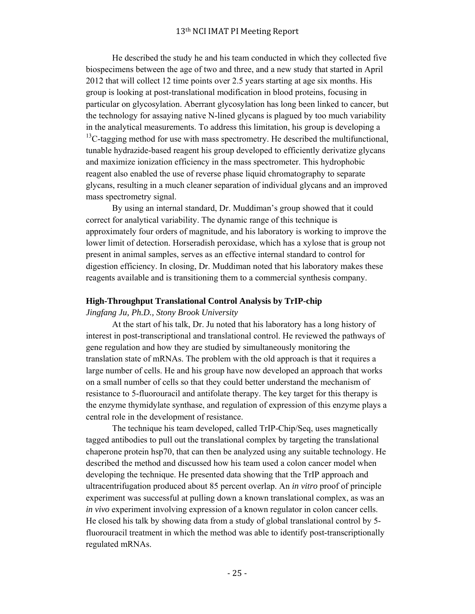He described the study he and his team conducted in which they collected five biospecimens between the age of two and three, and a new study that started in April 2012 that will collect 12 time points over 2.5 years starting at age six months. His group is looking at post-translational modification in blood proteins, focusing in particular on glycosylation. Aberrant glycosylation has long been linked to cancer, but the technology for assaying native N-lined glycans is plagued by too much variability in the analytical measurements. To address this limitation, his group is developing a  $13C$ -tagging method for use with mass spectrometry. He described the multifunctional, tunable hydrazide-based reagent his group developed to efficiently derivatize glycans and maximize ionization efficiency in the mass spectrometer. This hydrophobic reagent also enabled the use of reverse phase liquid chromatography to separate glycans, resulting in a much cleaner separation of individual glycans and an improved mass spectrometry signal.

 By using an internal standard, Dr. Muddiman's group showed that it could correct for analytical variability. The dynamic range of this technique is approximately four orders of magnitude, and his laboratory is working to improve the lower limit of detection. Horseradish peroxidase, which has a xylose that is group not present in animal samples, serves as an effective internal standard to control for digestion efficiency. In closing, Dr. Muddiman noted that his laboratory makes these reagents available and is transitioning them to a commercial synthesis company.

#### **High-Throughput Translational Control Analysis by TrIP-chip**

#### *Jingfang Ju, Ph.D., Stony Brook University*

 At the start of his talk, Dr. Ju noted that his laboratory has a long history of interest in post-transcriptional and translational control. He reviewed the pathways of gene regulation and how they are studied by simultaneously monitoring the translation state of mRNAs. The problem with the old approach is that it requires a large number of cells. He and his group have now developed an approach that works on a small number of cells so that they could better understand the mechanism of resistance to 5-fluorouracil and antifolate therapy. The key target for this therapy is the enzyme thymidylate synthase, and regulation of expression of this enzyme plays a central role in the development of resistance.

 The technique his team developed, called TrIP-Chip/Seq, uses magnetically tagged antibodies to pull out the translational complex by targeting the translational chaperone protein hsp70, that can then be analyzed using any suitable technology. He described the method and discussed how his team used a colon cancer model when developing the technique. He presented data showing that the TrIP approach and ultracentrifugation produced about 85 percent overlap. An *in vitro* proof of principle experiment was successful at pulling down a known translational complex, as was an *in vivo* experiment involving expression of a known regulator in colon cancer cells. He closed his talk by showing data from a study of global translational control by 5 fluorouracil treatment in which the method was able to identify post-transcriptionally regulated mRNAs.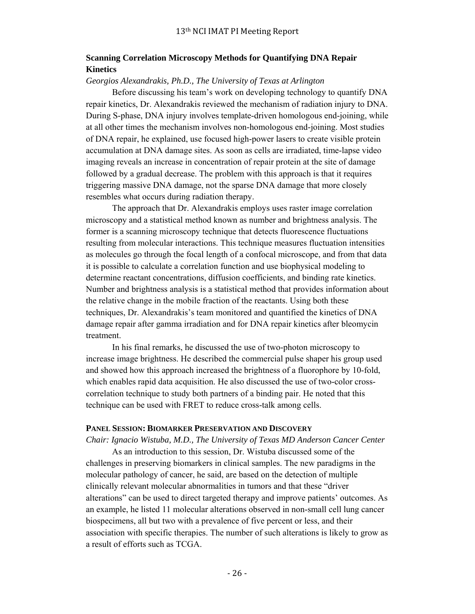## **Scanning Correlation Microscopy Methods for Quantifying DNA Repair Kinetics**

### *Georgios Alexandrakis, Ph.D., The University of Texas at Arlington*

 Before discussing his team's work on developing technology to quantify DNA repair kinetics, Dr. Alexandrakis reviewed the mechanism of radiation injury to DNA. During S-phase, DNA injury involves template-driven homologous end-joining, while at all other times the mechanism involves non-homologous end-joining. Most studies of DNA repair, he explained, use focused high-power lasers to create visible protein accumulation at DNA damage sites. As soon as cells are irradiated, time-lapse video imaging reveals an increase in concentration of repair protein at the site of damage followed by a gradual decrease. The problem with this approach is that it requires triggering massive DNA damage, not the sparse DNA damage that more closely resembles what occurs during radiation therapy.

 The approach that Dr. Alexandrakis employs uses raster image correlation microscopy and a statistical method known as number and brightness analysis. The former is a scanning microscopy technique that detects fluorescence fluctuations resulting from molecular interactions. This technique measures fluctuation intensities as molecules go through the focal length of a confocal microscope, and from that data it is possible to calculate a correlation function and use biophysical modeling to determine reactant concentrations, diffusion coefficients, and binding rate kinetics. Number and brightness analysis is a statistical method that provides information about the relative change in the mobile fraction of the reactants. Using both these techniques, Dr. Alexandrakis's team monitored and quantified the kinetics of DNA damage repair after gamma irradiation and for DNA repair kinetics after bleomycin treatment.

 In his final remarks, he discussed the use of two-photon microscopy to increase image brightness. He described the commercial pulse shaper his group used and showed how this approach increased the brightness of a fluorophore by 10-fold, which enables rapid data acquisition. He also discussed the use of two-color crosscorrelation technique to study both partners of a binding pair. He noted that this technique can be used with FRET to reduce cross-talk among cells.

### **PANEL SESSION: BIOMARKER PRESERVATION AND DISCOVERY**

*Chair: Ignacio Wistuba, M.D., The University of Texas MD Anderson Cancer Center*

 As an introduction to this session, Dr. Wistuba discussed some of the challenges in preserving biomarkers in clinical samples. The new paradigms in the molecular pathology of cancer, he said, are based on the detection of multiple clinically relevant molecular abnormalities in tumors and that these "driver alterations" can be used to direct targeted therapy and improve patients' outcomes. As an example, he listed 11 molecular alterations observed in non-small cell lung cancer biospecimens, all but two with a prevalence of five percent or less, and their association with specific therapies. The number of such alterations is likely to grow as a result of efforts such as TCGA.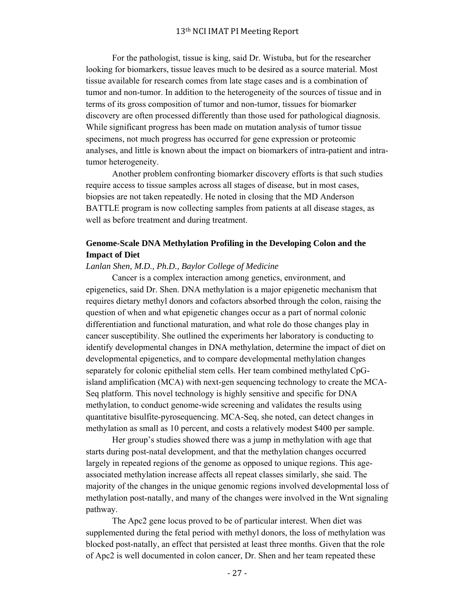For the pathologist, tissue is king, said Dr. Wistuba, but for the researcher looking for biomarkers, tissue leaves much to be desired as a source material. Most tissue available for research comes from late stage cases and is a combination of tumor and non-tumor. In addition to the heterogeneity of the sources of tissue and in terms of its gross composition of tumor and non-tumor, tissues for biomarker discovery are often processed differently than those used for pathological diagnosis. While significant progress has been made on mutation analysis of tumor tissue specimens, not much progress has occurred for gene expression or proteomic analyses, and little is known about the impact on biomarkers of intra-patient and intratumor heterogeneity.

 Another problem confronting biomarker discovery efforts is that such studies require access to tissue samples across all stages of disease, but in most cases, biopsies are not taken repeatedly. He noted in closing that the MD Anderson BATTLE program is now collecting samples from patients at all disease stages, as well as before treatment and during treatment.

## **Genome-Scale DNA Methylation Profiling in the Developing Colon and the Impact of Diet**

#### *Lanlan Shen, M.D., Ph.D., Baylor College of Medicine*

 Cancer is a complex interaction among genetics, environment, and epigenetics, said Dr. Shen. DNA methylation is a major epigenetic mechanism that requires dietary methyl donors and cofactors absorbed through the colon, raising the question of when and what epigenetic changes occur as a part of normal colonic differentiation and functional maturation, and what role do those changes play in cancer susceptibility. She outlined the experiments her laboratory is conducting to identify developmental changes in DNA methylation, determine the impact of diet on developmental epigenetics, and to compare developmental methylation changes separately for colonic epithelial stem cells. Her team combined methylated CpGisland amplification (MCA) with next-gen sequencing technology to create the MCA-Seq platform. This novel technology is highly sensitive and specific for DNA methylation, to conduct genome-wide screening and validates the results using quantitative bisulfite-pyrosequencing. MCA-Seq, she noted, can detect changes in methylation as small as 10 percent, and costs a relatively modest \$400 per sample.

 Her group's studies showed there was a jump in methylation with age that starts during post-natal development, and that the methylation changes occurred largely in repeated regions of the genome as opposed to unique regions. This ageassociated methylation increase affects all repeat classes similarly, she said. The majority of the changes in the unique genomic regions involved developmental loss of methylation post-natally, and many of the changes were involved in the Wnt signaling pathway.

 The Apc2 gene locus proved to be of particular interest. When diet was supplemented during the fetal period with methyl donors, the loss of methylation was blocked post-natally, an effect that persisted at least three months. Given that the role of Apc2 is well documented in colon cancer, Dr. Shen and her team repeated these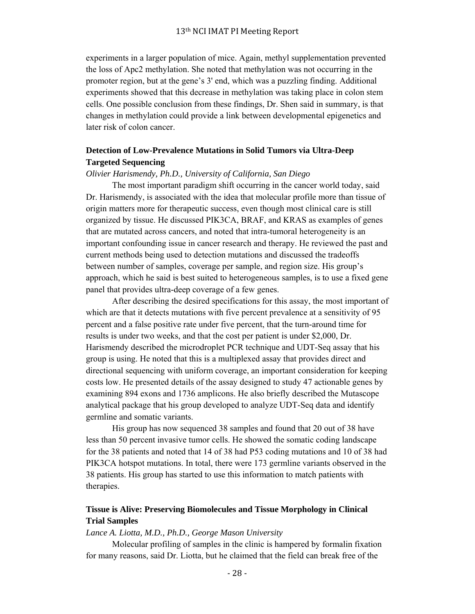experiments in a larger population of mice. Again, methyl supplementation prevented the loss of Apc2 methylation. She noted that methylation was not occurring in the promoter region, but at the gene's 3' end, which was a puzzling finding. Additional experiments showed that this decrease in methylation was taking place in colon stem cells. One possible conclusion from these findings, Dr. Shen said in summary, is that changes in methylation could provide a link between developmental epigenetics and later risk of colon cancer.

## **Detection of Low-Prevalence Mutations in Solid Tumors via Ultra-Deep Targeted Sequencing**

#### *Olivier Harismendy, Ph.D., University of California, San Diego*

 The most important paradigm shift occurring in the cancer world today, said Dr. Harismendy, is associated with the idea that molecular profile more than tissue of origin matters more for therapeutic success, even though most clinical care is still organized by tissue. He discussed PIK3CA, BRAF, and KRAS as examples of genes that are mutated across cancers, and noted that intra-tumoral heterogeneity is an important confounding issue in cancer research and therapy. He reviewed the past and current methods being used to detection mutations and discussed the tradeoffs between number of samples, coverage per sample, and region size. His group's approach, which he said is best suited to heterogeneous samples, is to use a fixed gene panel that provides ultra-deep coverage of a few genes.

 After describing the desired specifications for this assay, the most important of which are that it detects mutations with five percent prevalence at a sensitivity of 95 percent and a false positive rate under five percent, that the turn-around time for results is under two weeks, and that the cost per patient is under \$2,000, Dr. Harismendy described the microdroplet PCR technique and UDT-Seq assay that his group is using. He noted that this is a multiplexed assay that provides direct and directional sequencing with uniform coverage, an important consideration for keeping costs low. He presented details of the assay designed to study 47 actionable genes by examining 894 exons and 1736 amplicons. He also briefly described the Mutascope analytical package that his group developed to analyze UDT-Seq data and identify germline and somatic variants.

 His group has now sequenced 38 samples and found that 20 out of 38 have less than 50 percent invasive tumor cells. He showed the somatic coding landscape for the 38 patients and noted that 14 of 38 had P53 coding mutations and 10 of 38 had PIK3CA hotspot mutations. In total, there were 173 germline variants observed in the 38 patients. His group has started to use this information to match patients with therapies.

## **Tissue is Alive: Preserving Biomolecules and Tissue Morphology in Clinical Trial Samples**

#### *Lance A. Liotta, M.D., Ph.D., George Mason University*

 Molecular profiling of samples in the clinic is hampered by formalin fixation for many reasons, said Dr. Liotta, but he claimed that the field can break free of the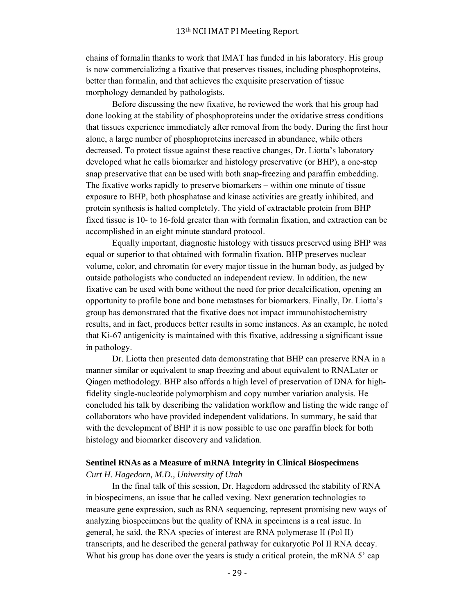chains of formalin thanks to work that IMAT has funded in his laboratory. His group is now commercializing a fixative that preserves tissues, including phosphoproteins, better than formalin, and that achieves the exquisite preservation of tissue morphology demanded by pathologists.

 Before discussing the new fixative, he reviewed the work that his group had done looking at the stability of phosphoproteins under the oxidative stress conditions that tissues experience immediately after removal from the body. During the first hour alone, a large number of phosphoproteins increased in abundance, while others decreased. To protect tissue against these reactive changes, Dr. Liotta's laboratory developed what he calls biomarker and histology preservative (or BHP), a one-step snap preservative that can be used with both snap-freezing and paraffin embedding. The fixative works rapidly to preserve biomarkers – within one minute of tissue exposure to BHP, both phosphatase and kinase activities are greatly inhibited, and protein synthesis is halted completely. The yield of extractable protein from BHP fixed tissue is 10- to 16-fold greater than with formalin fixation, and extraction can be accomplished in an eight minute standard protocol.

 Equally important, diagnostic histology with tissues preserved using BHP was equal or superior to that obtained with formalin fixation. BHP preserves nuclear volume, color, and chromatin for every major tissue in the human body, as judged by outside pathologists who conducted an independent review. In addition, the new fixative can be used with bone without the need for prior decalcification, opening an opportunity to profile bone and bone metastases for biomarkers. Finally, Dr. Liotta's group has demonstrated that the fixative does not impact immunohistochemistry results, and in fact, produces better results in some instances. As an example, he noted that Ki-67 antigenicity is maintained with this fixative, addressing a significant issue in pathology.

 Dr. Liotta then presented data demonstrating that BHP can preserve RNA in a manner similar or equivalent to snap freezing and about equivalent to RNALater or Qiagen methodology. BHP also affords a high level of preservation of DNA for highfidelity single-nucleotide polymorphism and copy number variation analysis. He concluded his talk by describing the validation workflow and listing the wide range of collaborators who have provided independent validations. In summary, he said that with the development of BHP it is now possible to use one paraffin block for both histology and biomarker discovery and validation.

#### **Sentinel RNAs as a Measure of mRNA Integrity in Clinical Biospecimens**

### *Curt H. Hagedorn, M.D., University of Utah*

 In the final talk of this session, Dr. Hagedorn addressed the stability of RNA in biospecimens, an issue that he called vexing. Next generation technologies to measure gene expression, such as RNA sequencing, represent promising new ways of analyzing biospecimens but the quality of RNA in specimens is a real issue. In general, he said, the RNA species of interest are RNA polymerase II (Pol II) transcripts, and he described the general pathway for eukaryotic Pol II RNA decay. What his group has done over the years is study a critical protein, the mRNA 5' cap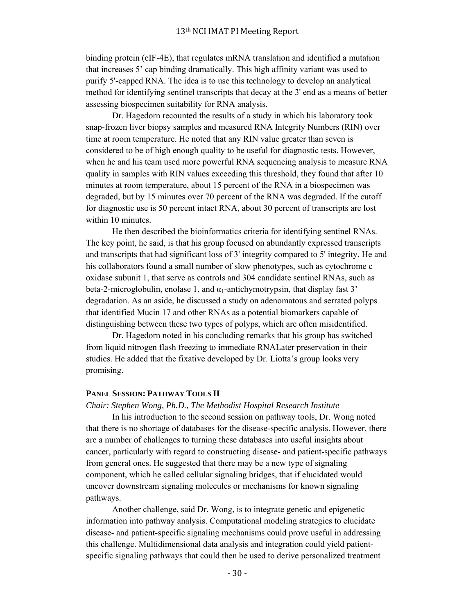binding protein (eIF-4E), that regulates mRNA translation and identified a mutation that increases 5' cap binding dramatically. This high affinity variant was used to purify 5'-capped RNA. The idea is to use this technology to develop an analytical method for identifying sentinel transcripts that decay at the 3' end as a means of better assessing biospecimen suitability for RNA analysis.

 Dr. Hagedorn recounted the results of a study in which his laboratory took snap-frozen liver biopsy samples and measured RNA Integrity Numbers (RIN) over time at room temperature. He noted that any RIN value greater than seven is considered to be of high enough quality to be useful for diagnostic tests. However, when he and his team used more powerful RNA sequencing analysis to measure RNA quality in samples with RIN values exceeding this threshold, they found that after 10 minutes at room temperature, about 15 percent of the RNA in a biospecimen was degraded, but by 15 minutes over 70 percent of the RNA was degraded. If the cutoff for diagnostic use is 50 percent intact RNA, about 30 percent of transcripts are lost within 10 minutes.

 He then described the bioinformatics criteria for identifying sentinel RNAs. The key point, he said, is that his group focused on abundantly expressed transcripts and transcripts that had significant loss of 3' integrity compared to 5' integrity. He and his collaborators found a small number of slow phenotypes, such as cytochrome c oxidase subunit 1, that serve as controls and 304 candidate sentinel RNAs, such as beta-2-microglobulin, enolase 1, and  $\alpha_1$ -antichymotrypsin, that display fast 3' degradation. As an aside, he discussed a study on adenomatous and serrated polyps that identified Mucin 17 and other RNAs as a potential biomarkers capable of distinguishing between these two types of polyps, which are often misidentified.

 Dr. Hagedorn noted in his concluding remarks that his group has switched from liquid nitrogen flash freezing to immediate RNALater preservation in their studies. He added that the fixative developed by Dr. Liotta's group looks very promising.

### **PANEL SESSION: PATHWAY TOOLS II**

### *Chair: Stephen Wong, Ph.D., The Methodist Hospital Research Institute*

 In his introduction to the second session on pathway tools, Dr. Wong noted that there is no shortage of databases for the disease-specific analysis. However, there are a number of challenges to turning these databases into useful insights about cancer, particularly with regard to constructing disease- and patient-specific pathways from general ones. He suggested that there may be a new type of signaling component, which he called cellular signaling bridges, that if elucidated would uncover downstream signaling molecules or mechanisms for known signaling pathways.

 Another challenge, said Dr. Wong, is to integrate genetic and epigenetic information into pathway analysis. Computational modeling strategies to elucidate disease- and patient-specific signaling mechanisms could prove useful in addressing this challenge. Multidimensional data analysis and integration could yield patientspecific signaling pathways that could then be used to derive personalized treatment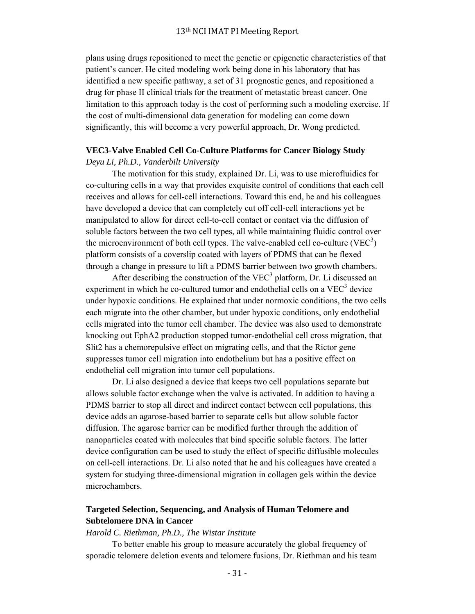plans using drugs repositioned to meet the genetic or epigenetic characteristics of that patient's cancer. He cited modeling work being done in his laboratory that has identified a new specific pathway, a set of 31 prognostic genes, and repositioned a drug for phase II clinical trials for the treatment of metastatic breast cancer. One limitation to this approach today is the cost of performing such a modeling exercise. If the cost of multi-dimensional data generation for modeling can come down significantly, this will become a very powerful approach, Dr. Wong predicted.

# **VEC3-Valve Enabled Cell Co-Culture Platforms for Cancer Biology Study**

## *Deyu Li, Ph.D., Vanderbilt University*

 The motivation for this study, explained Dr. Li, was to use microfluidics for co-culturing cells in a way that provides exquisite control of conditions that each cell receives and allows for cell-cell interactions. Toward this end, he and his colleagues have developed a device that can completely cut off cell-cell interactions yet be manipulated to allow for direct cell-to-cell contact or contact via the diffusion of soluble factors between the two cell types, all while maintaining fluidic control over the microenvironment of both cell types. The valve-enabled cell co-culture (VEC<sup>3</sup>) platform consists of a coverslip coated with layers of PDMS that can be flexed through a change in pressure to lift a PDMS barrier between two growth chambers.

After describing the construction of the  $VEC^3$  platform, Dr. Li discussed an experiment in which he co-cultured tumor and endothelial cells on a  $VEC^3$  device under hypoxic conditions. He explained that under normoxic conditions, the two cells each migrate into the other chamber, but under hypoxic conditions, only endothelial cells migrated into the tumor cell chamber. The device was also used to demonstrate knocking out EphA2 production stopped tumor-endothelial cell cross migration, that Slit2 has a chemorepulsive effect on migrating cells, and that the Rictor gene suppresses tumor cell migration into endothelium but has a positive effect on endothelial cell migration into tumor cell populations.

 Dr. Li also designed a device that keeps two cell populations separate but allows soluble factor exchange when the valve is activated. In addition to having a PDMS barrier to stop all direct and indirect contact between cell populations, this device adds an agarose-based barrier to separate cells but allow soluble factor diffusion. The agarose barrier can be modified further through the addition of nanoparticles coated with molecules that bind specific soluble factors. The latter device configuration can be used to study the effect of specific diffusible molecules on cell-cell interactions. Dr. Li also noted that he and his colleagues have created a system for studying three-dimensional migration in collagen gels within the device microchambers.

## **Targeted Selection, Sequencing, and Analysis of Human Telomere and Subtelomere DNA in Cancer**

### *Harold C. Riethman, Ph.D., The Wistar Institute*

 To better enable his group to measure accurately the global frequency of sporadic telomere deletion events and telomere fusions, Dr. Riethman and his team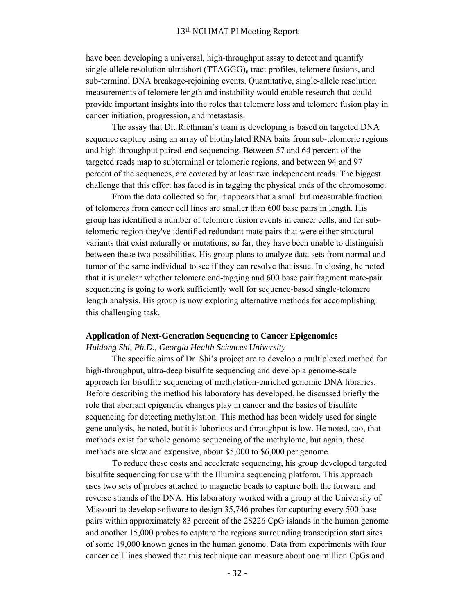have been developing a universal, high-throughput assay to detect and quantify single-allele resolution ultrashort  $(TTAGGG)_n$  tract profiles, telomere fusions, and sub-terminal DNA breakage-rejoining events. Quantitative, single-allele resolution measurements of telomere length and instability would enable research that could provide important insights into the roles that telomere loss and telomere fusion play in cancer initiation, progression, and metastasis.

 The assay that Dr. Riethman's team is developing is based on targeted DNA sequence capture using an array of biotinylated RNA baits from sub-telomeric regions and high-throughput paired-end sequencing. Between 57 and 64 percent of the targeted reads map to subterminal or telomeric regions, and between 94 and 97 percent of the sequences, are covered by at least two independent reads. The biggest challenge that this effort has faced is in tagging the physical ends of the chromosome.

 From the data collected so far, it appears that a small but measurable fraction of telomeres from cancer cell lines are smaller than 600 base pairs in length. His group has identified a number of telomere fusion events in cancer cells, and for subtelomeric region they've identified redundant mate pairs that were either structural variants that exist naturally or mutations; so far, they have been unable to distinguish between these two possibilities. His group plans to analyze data sets from normal and tumor of the same individual to see if they can resolve that issue. In closing, he noted that it is unclear whether telomere end-tagging and 600 base pair fragment mate-pair sequencing is going to work sufficiently well for sequence-based single-telomere length analysis. His group is now exploring alternative methods for accomplishing this challenging task.

#### **Application of Next-Generation Sequencing to Cancer Epigenomics**

### *Huidong Shi, Ph.D., Georgia Health Sciences University*

 The specific aims of Dr. Shi's project are to develop a multiplexed method for high-throughput, ultra-deep bisulfite sequencing and develop a genome-scale approach for bisulfite sequencing of methylation-enriched genomic DNA libraries. Before describing the method his laboratory has developed, he discussed briefly the role that aberrant epigenetic changes play in cancer and the basics of bisulfite sequencing for detecting methylation. This method has been widely used for single gene analysis, he noted, but it is laborious and throughput is low. He noted, too, that methods exist for whole genome sequencing of the methylome, but again, these methods are slow and expensive, about \$5,000 to \$6,000 per genome.

 To reduce these costs and accelerate sequencing, his group developed targeted bisulfite sequencing for use with the Illumina sequencing platform. This approach uses two sets of probes attached to magnetic beads to capture both the forward and reverse strands of the DNA. His laboratory worked with a group at the University of Missouri to develop software to design 35,746 probes for capturing every 500 base pairs within approximately 83 percent of the 28226 CpG islands in the human genome and another 15,000 probes to capture the regions surrounding transcription start sites of some 19,000 known genes in the human genome. Data from experiments with four cancer cell lines showed that this technique can measure about one million CpGs and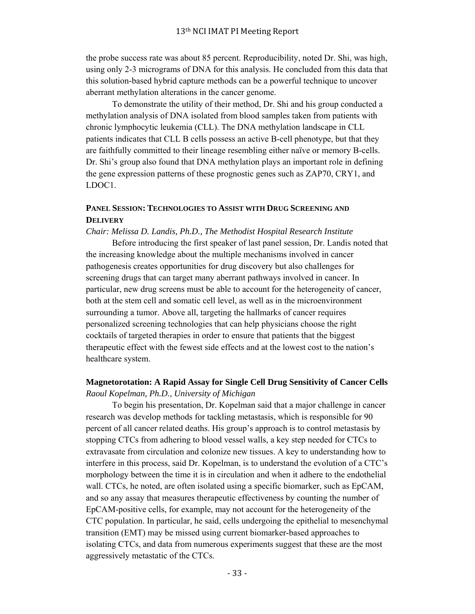the probe success rate was about 85 percent. Reproducibility, noted Dr. Shi, was high, using only 2-3 micrograms of DNA for this analysis. He concluded from this data that this solution-based hybrid capture methods can be a powerful technique to uncover aberrant methylation alterations in the cancer genome.

 To demonstrate the utility of their method, Dr. Shi and his group conducted a methylation analysis of DNA isolated from blood samples taken from patients with chronic lymphocytic leukemia (CLL). The DNA methylation landscape in CLL patients indicates that CLL B cells possess an active B-cell phenotype, but that they are faithfully committed to their lineage resembling either naïve or memory B-cells. Dr. Shi's group also found that DNA methylation plays an important role in defining the gene expression patterns of these prognostic genes such as ZAP70, CRY1, and LDOC1.

## **PANEL SESSION: TECHNOLOGIES TO ASSIST WITH DRUG SCREENING AND DELIVERY**

*Chair: Melissa D. Landis, Ph.D., The Methodist Hospital Research Institute*

 Before introducing the first speaker of last panel session, Dr. Landis noted that the increasing knowledge about the multiple mechanisms involved in cancer pathogenesis creates opportunities for drug discovery but also challenges for screening drugs that can target many aberrant pathways involved in cancer. In particular, new drug screens must be able to account for the heterogeneity of cancer, both at the stem cell and somatic cell level, as well as in the microenvironment surrounding a tumor. Above all, targeting the hallmarks of cancer requires personalized screening technologies that can help physicians choose the right cocktails of targeted therapies in order to ensure that patients that the biggest therapeutic effect with the fewest side effects and at the lowest cost to the nation's healthcare system.

## **Magnetorotation: A Rapid Assay for Single Cell Drug Sensitivity of Cancer Cells** *Raoul Kopelman, Ph.D., University of Michigan*

 To begin his presentation, Dr. Kopelman said that a major challenge in cancer research was develop methods for tackling metastasis, which is responsible for 90 percent of all cancer related deaths. His group's approach is to control metastasis by stopping CTCs from adhering to blood vessel walls, a key step needed for CTCs to extravasate from circulation and colonize new tissues. A key to understanding how to interfere in this process, said Dr. Kopelman, is to understand the evolution of a CTC's morphology between the time it is in circulation and when it adhere to the endothelial wall. CTCs, he noted, are often isolated using a specific biomarker, such as EpCAM, and so any assay that measures therapeutic effectiveness by counting the number of EpCAM-positive cells, for example, may not account for the heterogeneity of the CTC population. In particular, he said, cells undergoing the epithelial to mesenchymal transition (EMT) may be missed using current biomarker-based approaches to isolating CTCs, and data from numerous experiments suggest that these are the most aggressively metastatic of the CTCs.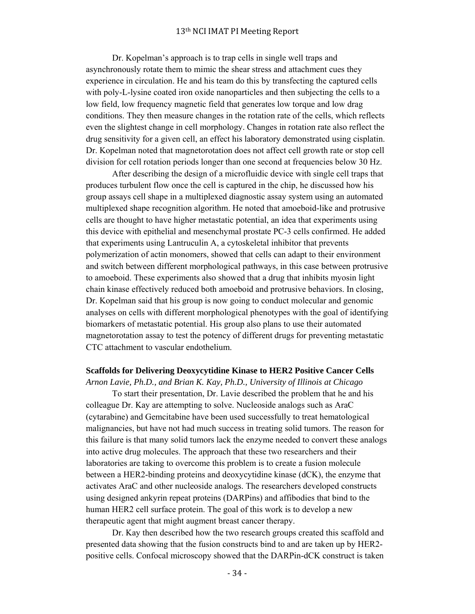Dr. Kopelman's approach is to trap cells in single well traps and asynchronously rotate them to mimic the shear stress and attachment cues they experience in circulation. He and his team do this by transfecting the captured cells with poly-L-lysine coated iron oxide nanoparticles and then subjecting the cells to a low field, low frequency magnetic field that generates low torque and low drag conditions. They then measure changes in the rotation rate of the cells, which reflects even the slightest change in cell morphology. Changes in rotation rate also reflect the drug sensitivity for a given cell, an effect his laboratory demonstrated using cisplatin. Dr. Kopelman noted that magnetorotation does not affect cell growth rate or stop cell division for cell rotation periods longer than one second at frequencies below 30 Hz.

 After describing the design of a microfluidic device with single cell traps that produces turbulent flow once the cell is captured in the chip, he discussed how his group assays cell shape in a multiplexed diagnostic assay system using an automated multiplexed shape recognition algorithm. He noted that amoeboid-like and protrusive cells are thought to have higher metastatic potential, an idea that experiments using this device with epithelial and mesenchymal prostate PC-3 cells confirmed. He added that experiments using Lantruculin A, a cytoskeletal inhibitor that prevents polymerization of actin monomers, showed that cells can adapt to their environment and switch between different morphological pathways, in this case between protrusive to amoeboid. These experiments also showed that a drug that inhibits myosin light chain kinase effectively reduced both amoeboid and protrusive behaviors. In closing, Dr. Kopelman said that his group is now going to conduct molecular and genomic analyses on cells with different morphological phenotypes with the goal of identifying biomarkers of metastatic potential. His group also plans to use their automated magnetorotation assay to test the potency of different drugs for preventing metastatic CTC attachment to vascular endothelium.

#### **Scaffolds for Delivering Deoxycytidine Kinase to HER2 Positive Cancer Cells**

*Arnon Lavie, Ph.D., and Brian K. Kay, Ph.D., University of Illinois at Chicago* To start their presentation, Dr. Lavie described the problem that he and his colleague Dr. Kay are attempting to solve. Nucleoside analogs such as AraC (cytarabine) and Gemcitabine have been used successfully to treat hematological malignancies, but have not had much success in treating solid tumors. The reason for this failure is that many solid tumors lack the enzyme needed to convert these analogs into active drug molecules. The approach that these two researchers and their laboratories are taking to overcome this problem is to create a fusion molecule between a HER2-binding proteins and deoxycytidine kinase (dCK), the enzyme that activates AraC and other nucleoside analogs. The researchers developed constructs using designed ankyrin repeat proteins (DARPins) and affibodies that bind to the human HER2 cell surface protein. The goal of this work is to develop a new therapeutic agent that might augment breast cancer therapy.

 Dr. Kay then described how the two research groups created this scaffold and presented data showing that the fusion constructs bind to and are taken up by HER2 positive cells. Confocal microscopy showed that the DARPin-dCK construct is taken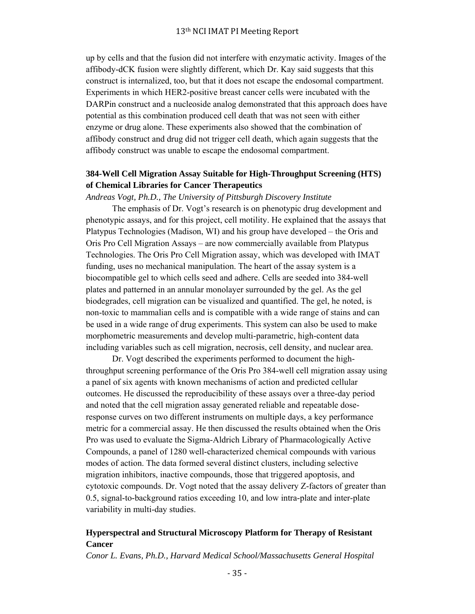up by cells and that the fusion did not interfere with enzymatic activity. Images of the affibody-dCK fusion were slightly different, which Dr. Kay said suggests that this construct is internalized, too, but that it does not escape the endosomal compartment. Experiments in which HER2-positive breast cancer cells were incubated with the DARPin construct and a nucleoside analog demonstrated that this approach does have potential as this combination produced cell death that was not seen with either enzyme or drug alone. These experiments also showed that the combination of affibody construct and drug did not trigger cell death, which again suggests that the affibody construct was unable to escape the endosomal compartment.

## **384-Well Cell Migration Assay Suitable for High-Throughput Screening (HTS) of Chemical Libraries for Cancer Therapeutics**

#### *Andreas Vogt, Ph.D., The University of Pittsburgh Discovery Institute*

 The emphasis of Dr. Vogt's research is on phenotypic drug development and phenotypic assays, and for this project, cell motility. He explained that the assays that Platypus Technologies (Madison, WI) and his group have developed – the Oris and Oris Pro Cell Migration Assays – are now commercially available from Platypus Technologies. The Oris Pro Cell Migration assay, which was developed with IMAT funding, uses no mechanical manipulation. The heart of the assay system is a biocompatible gel to which cells seed and adhere. Cells are seeded into 384-well plates and patterned in an annular monolayer surrounded by the gel. As the gel biodegrades, cell migration can be visualized and quantified. The gel, he noted, is non-toxic to mammalian cells and is compatible with a wide range of stains and can be used in a wide range of drug experiments. This system can also be used to make morphometric measurements and develop multi-parametric, high-content data including variables such as cell migration, necrosis, cell density, and nuclear area.

 Dr. Vogt described the experiments performed to document the highthroughput screening performance of the Oris Pro 384-well cell migration assay using a panel of six agents with known mechanisms of action and predicted cellular outcomes. He discussed the reproducibility of these assays over a three-day period and noted that the cell migration assay generated reliable and repeatable doseresponse curves on two different instruments on multiple days, a key performance metric for a commercial assay. He then discussed the results obtained when the Oris Pro was used to evaluate the Sigma-Aldrich Library of Pharmacologically Active Compounds, a panel of 1280 well-characterized chemical compounds with various modes of action. The data formed several distinct clusters, including selective migration inhibitors, inactive compounds, those that triggered apoptosis, and cytotoxic compounds. Dr. Vogt noted that the assay delivery Z-factors of greater than 0.5, signal-to-background ratios exceeding 10, and low intra-plate and inter-plate variability in multi-day studies.

## **Hyperspectral and Structural Microscopy Platform for Therapy of Resistant Cancer**

*Conor L. Evans, Ph.D., Harvard Medical School/Massachusetts General Hospital*